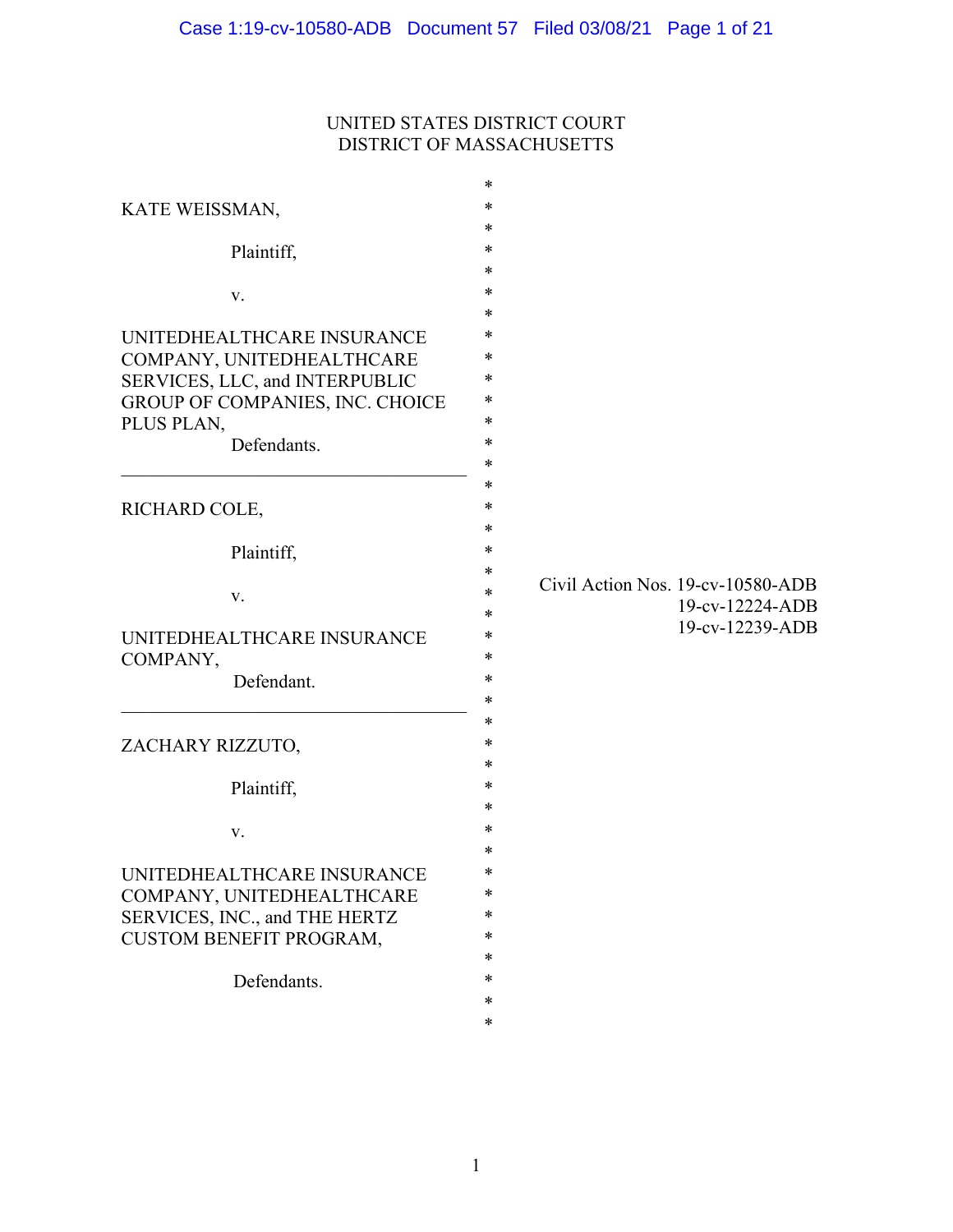# UNITED STATES DISTRICT COURT DISTRICT OF MASSACHUSETTS

|                                               | ∗                                       |
|-----------------------------------------------|-----------------------------------------|
| KATE WEISSMAN,                                | $\ast$                                  |
|                                               | $\ast$                                  |
| Plaintiff,                                    | ∗                                       |
|                                               | $\ast$                                  |
| V.                                            | $\ast$                                  |
|                                               | ∗                                       |
| UNITEDHEALTHCARE INSURANCE                    | ∗                                       |
| COMPANY, UNITEDHEALTHCARE                     | ∗<br>∗                                  |
| SERVICES, LLC, and INTERPUBLIC                | *                                       |
| GROUP OF COMPANIES, INC. CHOICE<br>PLUS PLAN, | $\ast$                                  |
| Defendants.                                   | $\ast$                                  |
|                                               | ∗                                       |
|                                               | ∗                                       |
| RICHARD COLE,                                 | $\ast$                                  |
|                                               | $\ast$                                  |
| Plaintiff,                                    | ∗                                       |
|                                               | ∗                                       |
| V.                                            | Civil Action Nos. 19-cv-10580-ADB<br>*  |
|                                               | 19-cv-12224-ADB<br>*<br>19-cv-12239-ADB |
| UNITEDHEALTHCARE INSURANCE                    | $\ast$                                  |
| COMPANY,                                      | $\ast$                                  |
| Defendant.                                    | ∗                                       |
|                                               | *                                       |
|                                               | $\ast$<br>$\ast$                        |
| ZACHARY RIZZUTO,                              | $\ast$                                  |
|                                               | $\ast$                                  |
| Plaintiff,                                    | $\ast$                                  |
| V.                                            | ∗                                       |
|                                               | *                                       |
| UNITEDHEALTHCARE INSURANCE                    |                                         |
| COMPANY, UNITEDHEALTHCARE                     | *                                       |
| SERVICES, INC., and THE HERTZ                 | ∗                                       |
| <b>CUSTOM BENEFIT PROGRAM,</b>                | ∗                                       |
|                                               | ∗                                       |
| Defendants.                                   | ∗                                       |
|                                               | $\ast$                                  |
|                                               | ∗                                       |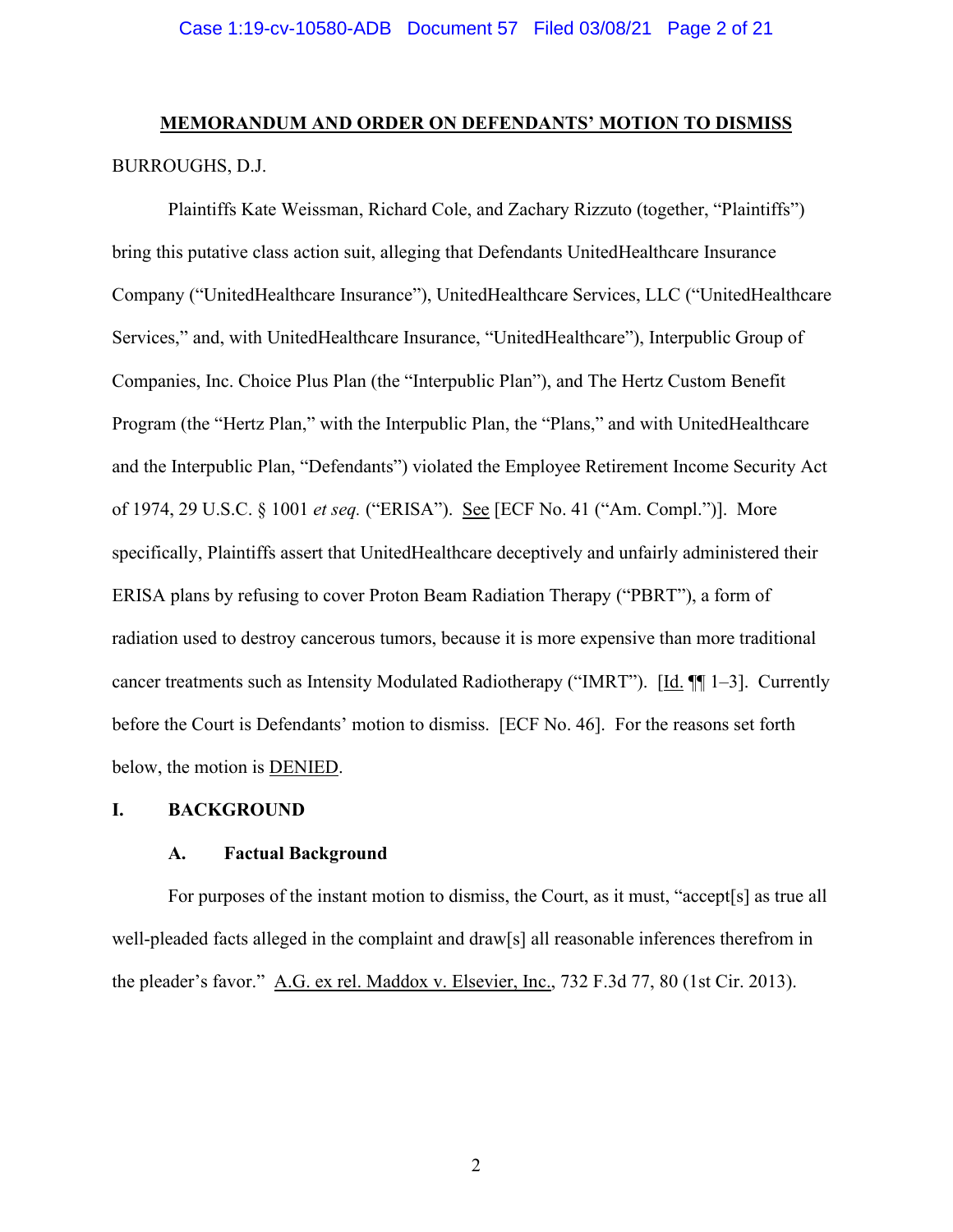# **MEMORANDUM AND ORDER ON DEFENDANTS' MOTION TO DISMISS** BURROUGHS, D.J.

Plaintiffs Kate Weissman, Richard Cole, and Zachary Rizzuto (together, "Plaintiffs") bring this putative class action suit, alleging that Defendants UnitedHealthcare Insurance Company ("UnitedHealthcare Insurance"), UnitedHealthcare Services, LLC ("UnitedHealthcare Services," and, with UnitedHealthcare Insurance, "UnitedHealthcare"), Interpublic Group of Companies, Inc. Choice Plus Plan (the "Interpublic Plan"), and The Hertz Custom Benefit Program (the "Hertz Plan," with the Interpublic Plan, the "Plans," and with UnitedHealthcare and the Interpublic Plan, "Defendants") violated the Employee Retirement Income Security Act of 1974, 29 U.S.C. § 1001 *et seq.* ("ERISA"). See [ECF No. 41 ("Am. Compl.")]. More specifically, Plaintiffs assert that UnitedHealthcare deceptively and unfairly administered their ERISA plans by refusing to cover Proton Beam Radiation Therapy ("PBRT"), a form of radiation used to destroy cancerous tumors, because it is more expensive than more traditional cancer treatments such as Intensity Modulated Radiotherapy ("IMRT"). [Id. ¶¶ 1–3]. Currently before the Court is Defendants' motion to dismiss. [ECF No. 46]. For the reasons set forth below, the motion is DENIED.

#### **I. BACKGROUND**

## **A. Factual Background**

For purposes of the instant motion to dismiss, the Court, as it must, "accept[s] as true all well-pleaded facts alleged in the complaint and draw[s] all reasonable inferences therefrom in the pleader's favor." A.G. ex rel. Maddox v. Elsevier, Inc., 732 F.3d 77, 80 (1st Cir. 2013).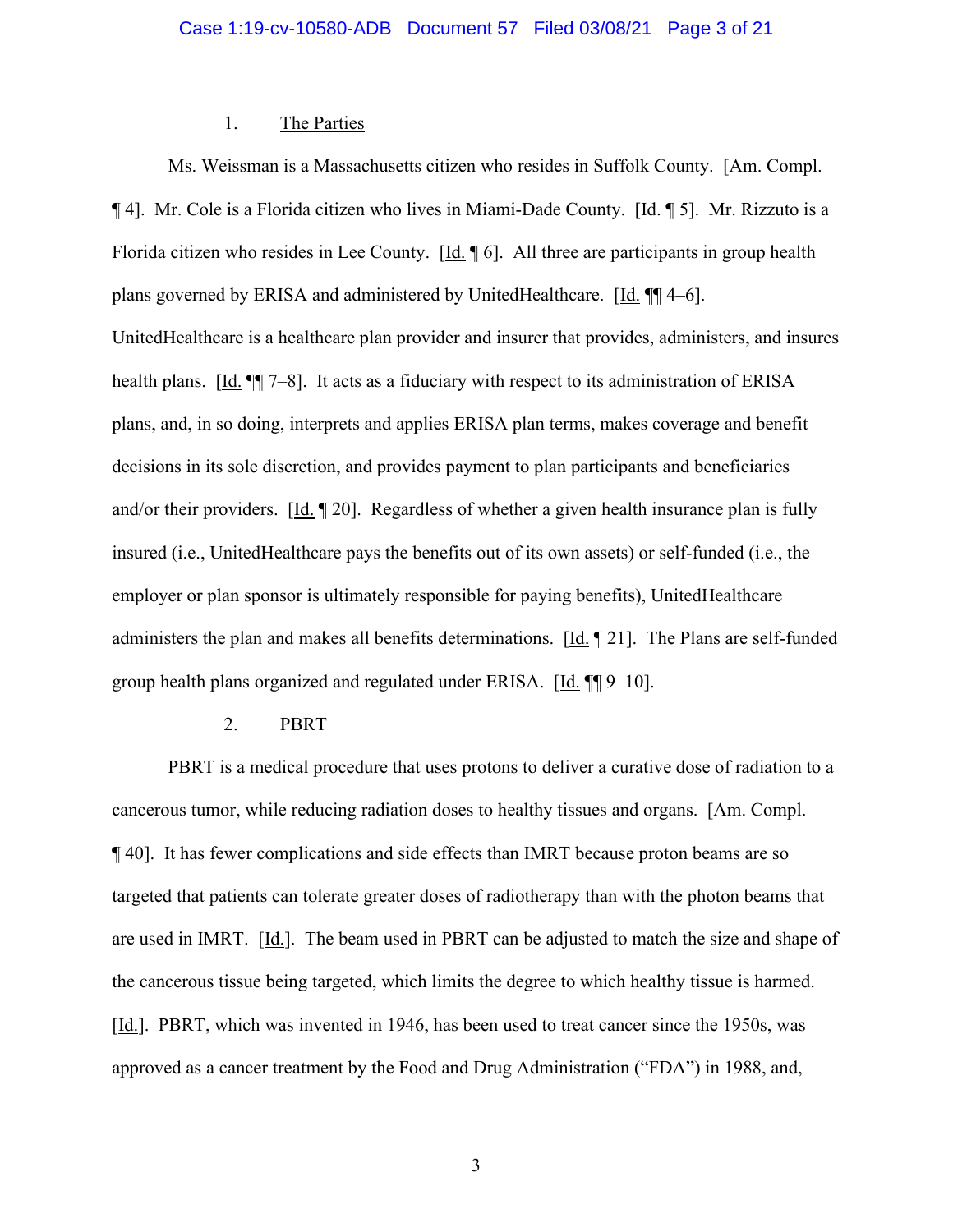### 1. The Parties

Ms. Weissman is a Massachusetts citizen who resides in Suffolk County. [Am. Compl. ¶ 4]. Mr. Cole is a Florida citizen who lives in Miami-Dade County. [Id. ¶ 5]. Mr. Rizzuto is a Florida citizen who resides in Lee County. [Id. ¶ 6]. All three are participants in group health plans governed by ERISA and administered by UnitedHealthcare. [Id. ¶¶ 4–6]. UnitedHealthcare is a healthcare plan provider and insurer that provides, administers, and insures health plans. [Id.  $\P$ ] 7–8]. It acts as a fiduciary with respect to its administration of ERISA plans, and, in so doing, interprets and applies ERISA plan terms, makes coverage and benefit decisions in its sole discretion, and provides payment to plan participants and beneficiaries and/or their providers.  $[\underline{Id}, \P 20]$ . Regardless of whether a given health insurance plan is fully insured (i.e., UnitedHealthcare pays the benefits out of its own assets) or self-funded (i.e., the employer or plan sponsor is ultimately responsible for paying benefits), UnitedHealthcare administers the plan and makes all benefits determinations. [Id. ¶ 21]. The Plans are self-funded group health plans organized and regulated under ERISA.  $[\underline{Id}]$ .  $\P$  9–10].

#### 2. PBRT

PBRT is a medical procedure that uses protons to deliver a curative dose of radiation to a cancerous tumor, while reducing radiation doses to healthy tissues and organs. [Am. Compl. ¶ 40]. It has fewer complications and side effects than IMRT because proton beams are so targeted that patients can tolerate greater doses of radiotherapy than with the photon beams that are used in IMRT. [Id.]. The beam used in PBRT can be adjusted to match the size and shape of the cancerous tissue being targeted, which limits the degree to which healthy tissue is harmed. [Id.]. PBRT, which was invented in 1946, has been used to treat cancer since the 1950s, was approved as a cancer treatment by the Food and Drug Administration ("FDA") in 1988, and,

3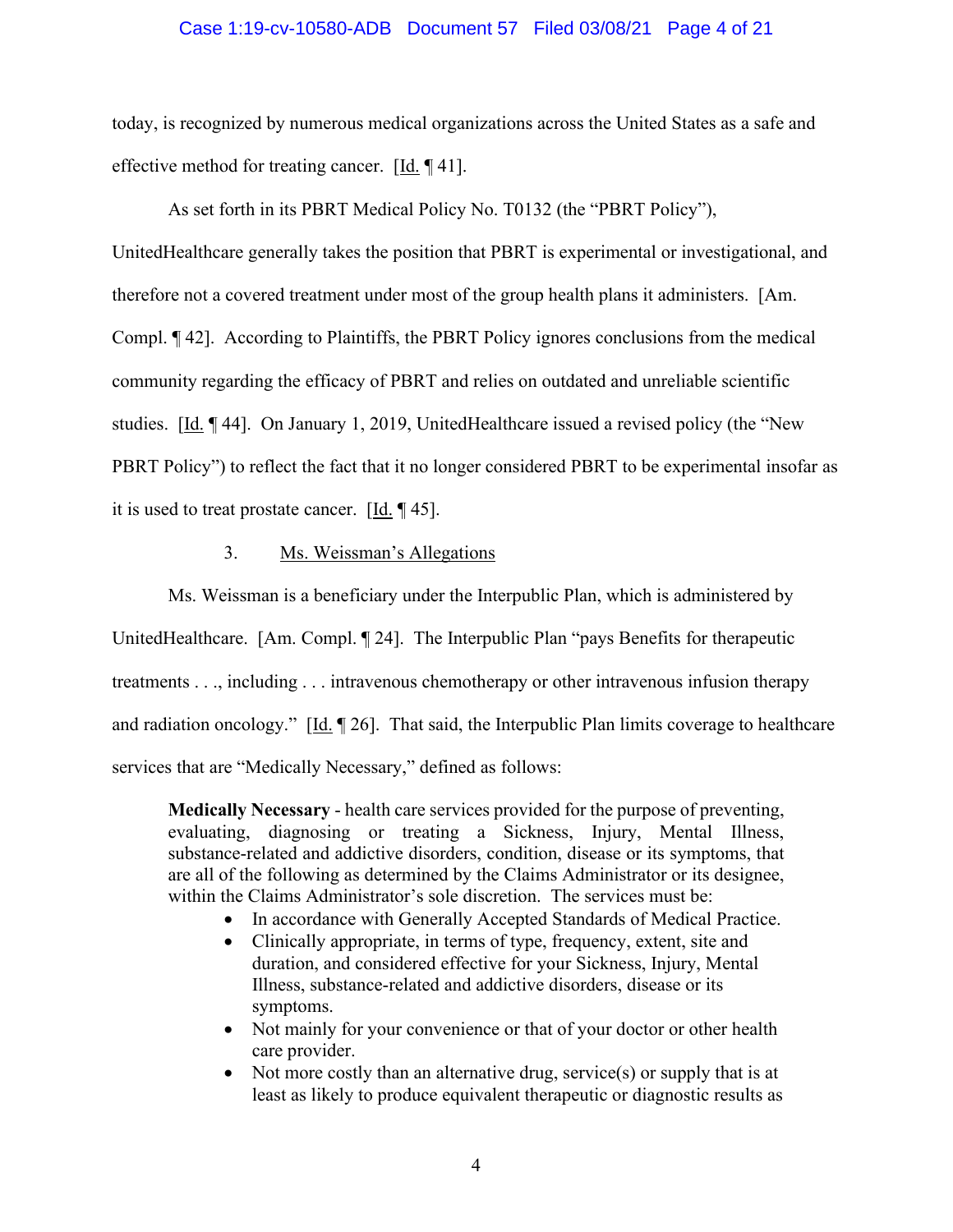#### Case 1:19-cv-10580-ADB Document 57 Filed 03/08/21 Page 4 of 21

today, is recognized by numerous medical organizations across the United States as a safe and effective method for treating cancer. [Id. ¶ 41].

As set forth in its PBRT Medical Policy No. T0132 (the "PBRT Policy"), UnitedHealthcare generally takes the position that PBRT is experimental or investigational, and therefore not a covered treatment under most of the group health plans it administers. [Am. Compl. ¶ 42]. According to Plaintiffs, the PBRT Policy ignores conclusions from the medical community regarding the efficacy of PBRT and relies on outdated and unreliable scientific studies. [Id. ¶ 44]. On January 1, 2019, UnitedHealthcare issued a revised policy (the "New PBRT Policy") to reflect the fact that it no longer considered PBRT to be experimental insofar as it is used to treat prostate cancer. [Id. ¶ 45].

#### 3. Ms. Weissman's Allegations

Ms. Weissman is a beneficiary under the Interpublic Plan, which is administered by UnitedHealthcare. [Am. Compl. ¶ 24]. The Interpublic Plan "pays Benefits for therapeutic treatments . . ., including . . . intravenous chemotherapy or other intravenous infusion therapy and radiation oncology."  $[\underline{Id}$ .  $\P$  26]. That said, the Interpublic Plan limits coverage to healthcare services that are "Medically Necessary," defined as follows:

**Medically Necessary** - health care services provided for the purpose of preventing, evaluating, diagnosing or treating a Sickness, Injury, Mental Illness, substance-related and addictive disorders, condition, disease or its symptoms, that are all of the following as determined by the Claims Administrator or its designee, within the Claims Administrator's sole discretion. The services must be:

- In accordance with Generally Accepted Standards of Medical Practice.
- Clinically appropriate, in terms of type, frequency, extent, site and duration, and considered effective for your Sickness, Injury, Mental Illness, substance-related and addictive disorders, disease or its symptoms.
- Not mainly for your convenience or that of your doctor or other health care provider.
- Not more costly than an alternative drug, service(s) or supply that is at least as likely to produce equivalent therapeutic or diagnostic results as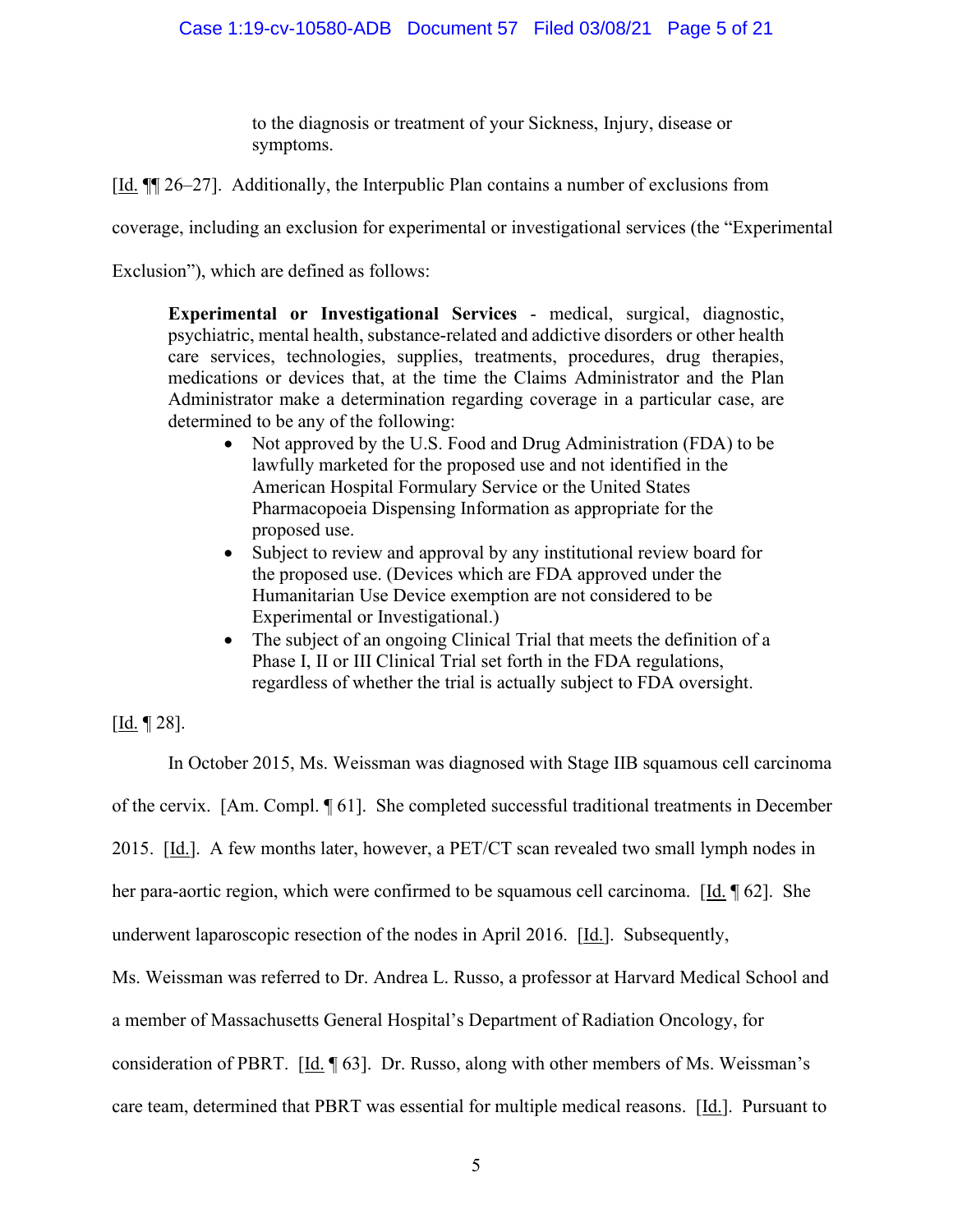to the diagnosis or treatment of your Sickness, Injury, disease or symptoms.

[Id. ¶¶ 26–27]. Additionally, the Interpublic Plan contains a number of exclusions from

coverage, including an exclusion for experimental or investigational services (the "Experimental

Exclusion"), which are defined as follows:

**Experimental or Investigational Services** - medical, surgical, diagnostic, psychiatric, mental health, substance-related and addictive disorders or other health care services, technologies, supplies, treatments, procedures, drug therapies, medications or devices that, at the time the Claims Administrator and the Plan Administrator make a determination regarding coverage in a particular case, are determined to be any of the following:

- Not approved by the U.S. Food and Drug Administration (FDA) to be lawfully marketed for the proposed use and not identified in the American Hospital Formulary Service or the United States Pharmacopoeia Dispensing Information as appropriate for the proposed use.
- Subject to review and approval by any institutional review board for the proposed use. (Devices which are FDA approved under the Humanitarian Use Device exemption are not considered to be Experimental or Investigational.)
- The subject of an ongoing Clinical Trial that meets the definition of a Phase I, II or III Clinical Trial set forth in the FDA regulations, regardless of whether the trial is actually subject to FDA oversight.

 $[$ <u>Id.</u> ¶ 28].

In October 2015, Ms. Weissman was diagnosed with Stage IIB squamous cell carcinoma of the cervix. [Am. Compl. ¶ 61]. She completed successful traditional treatments in December 2015. [Id.]. A few months later, however, a PET/CT scan revealed two small lymph nodes in her para-aortic region, which were confirmed to be squamous cell carcinoma. [Id. ¶ 62]. She underwent laparoscopic resection of the nodes in April 2016. [Id.]. Subsequently, Ms. Weissman was referred to Dr. Andrea L. Russo, a professor at Harvard Medical School and a member of Massachusetts General Hospital's Department of Radiation Oncology, for consideration of PBRT. [Id. ¶ 63]. Dr. Russo, along with other members of Ms. Weissman's care team, determined that PBRT was essential for multiple medical reasons. [Id.]. Pursuant to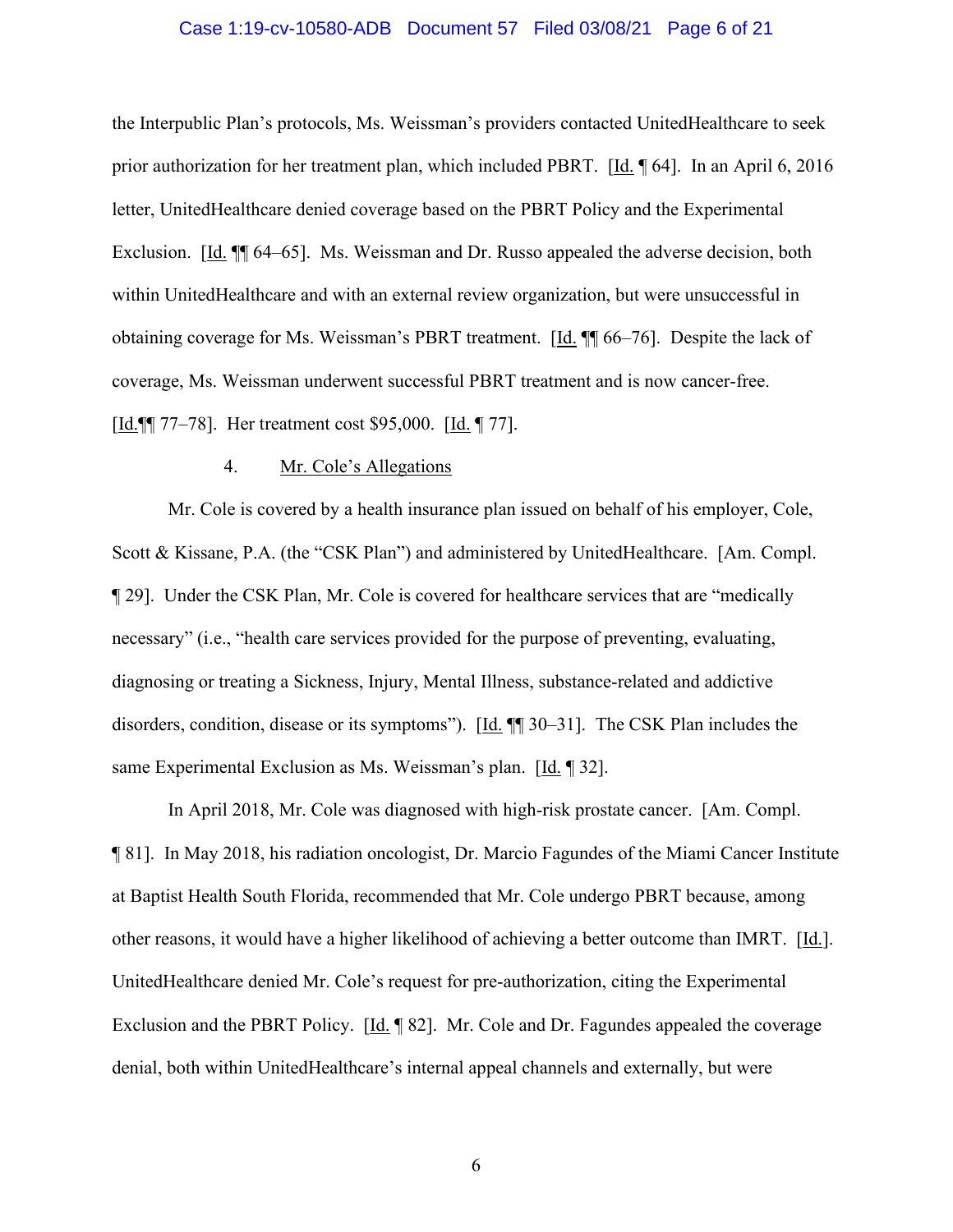#### Case 1:19-cv-10580-ADB Document 57 Filed 03/08/21 Page 6 of 21

the Interpublic Plan's protocols, Ms. Weissman's providers contacted UnitedHealthcare to seek prior authorization for her treatment plan, which included PBRT. [Id. ¶ 64]. In an April 6, 2016 letter, UnitedHealthcare denied coverage based on the PBRT Policy and the Experimental Exclusion. [Id. ¶¶ 64–65]. Ms. Weissman and Dr. Russo appealed the adverse decision, both within UnitedHealthcare and with an external review organization, but were unsuccessful in obtaining coverage for Ms. Weissman's PBRT treatment. [Id. ¶¶ 66–76]. Despite the lack of coverage, Ms. Weissman underwent successful PBRT treatment and is now cancer-free. [Id.¶¶ 77–78]. Her treatment cost \$95,000. [Id. ¶ 77].

#### 4. Mr. Cole's Allegations

Mr. Cole is covered by a health insurance plan issued on behalf of his employer, Cole, Scott & Kissane, P.A. (the "CSK Plan") and administered by UnitedHealthcare. [Am. Compl. ¶ 29]. Under the CSK Plan, Mr. Cole is covered for healthcare services that are "medically necessary" (i.e., "health care services provided for the purpose of preventing, evaluating, diagnosing or treating a Sickness, Injury, Mental Illness, substance-related and addictive disorders, condition, disease or its symptoms"). [Id. ¶¶ 30–31]. The CSK Plan includes the same Experimental Exclusion as Ms. Weissman's plan. [Id. ¶ 32].

In April 2018, Mr. Cole was diagnosed with high-risk prostate cancer. [Am. Compl. ¶ 81]. In May 2018, his radiation oncologist, Dr. Marcio Fagundes of the Miami Cancer Institute at Baptist Health South Florida, recommended that Mr. Cole undergo PBRT because, among other reasons, it would have a higher likelihood of achieving a better outcome than IMRT. [Id.]. UnitedHealthcare denied Mr. Cole's request for pre-authorization, citing the Experimental Exclusion and the PBRT Policy. [Id. ¶ 82]. Mr. Cole and Dr. Fagundes appealed the coverage denial, both within UnitedHealthcare's internal appeal channels and externally, but were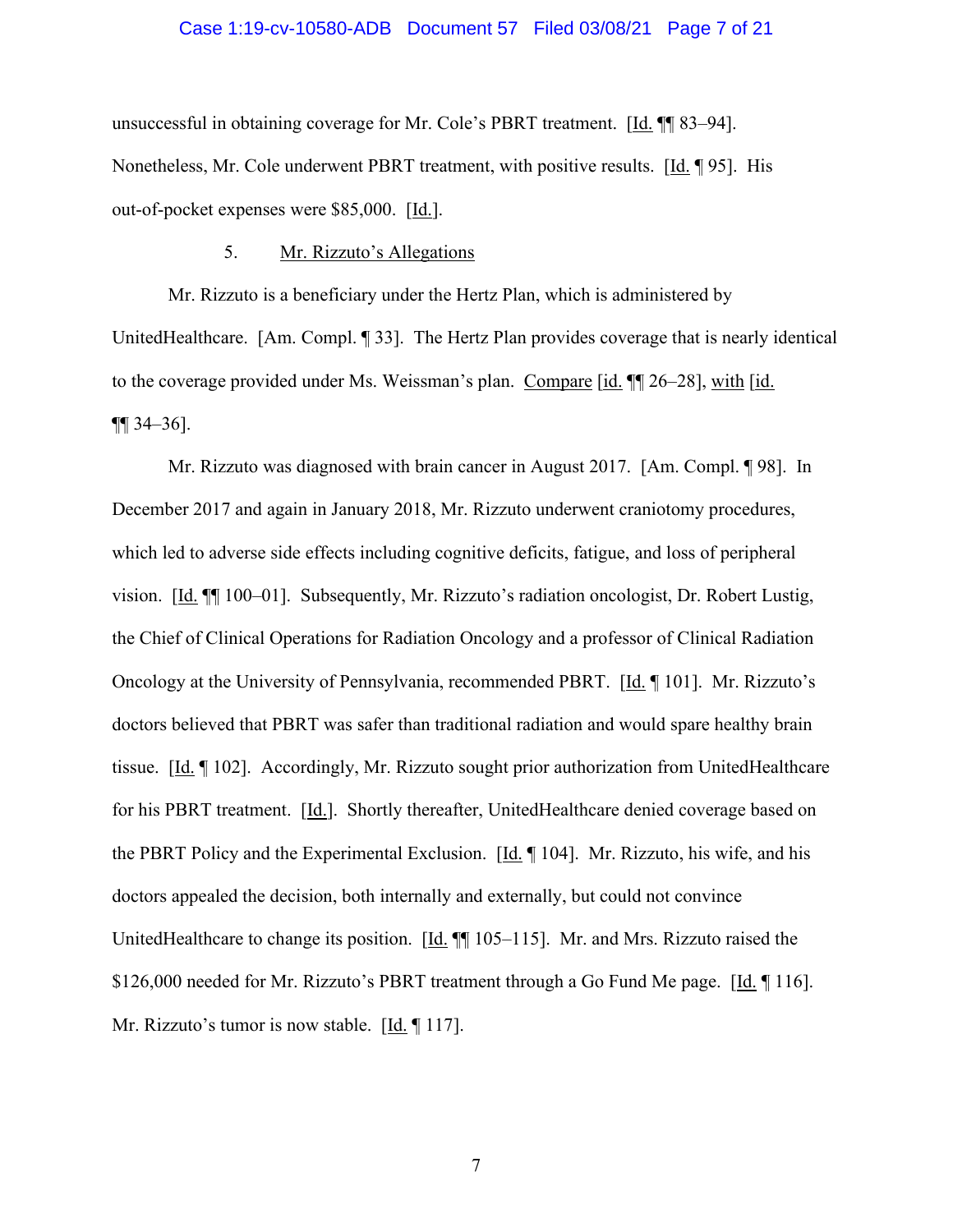#### Case 1:19-cv-10580-ADB Document 57 Filed 03/08/21 Page 7 of 21

unsuccessful in obtaining coverage for Mr. Cole's PBRT treatment. [Id. ¶¶ 83–94]. Nonetheless, Mr. Cole underwent PBRT treatment, with positive results. [Id. ¶ 95]. His out-of-pocket expenses were \$85,000. [Id.].

#### 5. Mr. Rizzuto's Allegations

Mr. Rizzuto is a beneficiary under the Hertz Plan, which is administered by UnitedHealthcare. [Am. Compl. ¶ 33]. The Hertz Plan provides coverage that is nearly identical to the coverage provided under Ms. Weissman's plan. Compare [id. ¶¶ 26–28], with [id.  $\P\P$  34–36].

Mr. Rizzuto was diagnosed with brain cancer in August 2017. [Am. Compl. ¶ 98]. In December 2017 and again in January 2018, Mr. Rizzuto underwent craniotomy procedures, which led to adverse side effects including cognitive deficits, fatigue, and loss of peripheral vision. [Id. ¶¶ 100–01]. Subsequently, Mr. Rizzuto's radiation oncologist, Dr. Robert Lustig, the Chief of Clinical Operations for Radiation Oncology and a professor of Clinical Radiation Oncology at the University of Pennsylvania, recommended PBRT. [Id. ¶ 101]. Mr. Rizzuto's doctors believed that PBRT was safer than traditional radiation and would spare healthy brain tissue. [Id. ¶ 102]. Accordingly, Mr. Rizzuto sought prior authorization from UnitedHealthcare for his PBRT treatment. [Id.]. Shortly thereafter, UnitedHealthcare denied coverage based on the PBRT Policy and the Experimental Exclusion. [Id. ¶ 104]. Mr. Rizzuto, his wife, and his doctors appealed the decision, both internally and externally, but could not convince UnitedHealthcare to change its position. [Id. ¶¶ 105–115]. Mr. and Mrs. Rizzuto raised the \$126,000 needed for Mr. Rizzuto's PBRT treatment through a Go Fund Me page. [Id. 116]. Mr. Rizzuto's tumor is now stable.  $[\underline{Id}, \P 117]$ .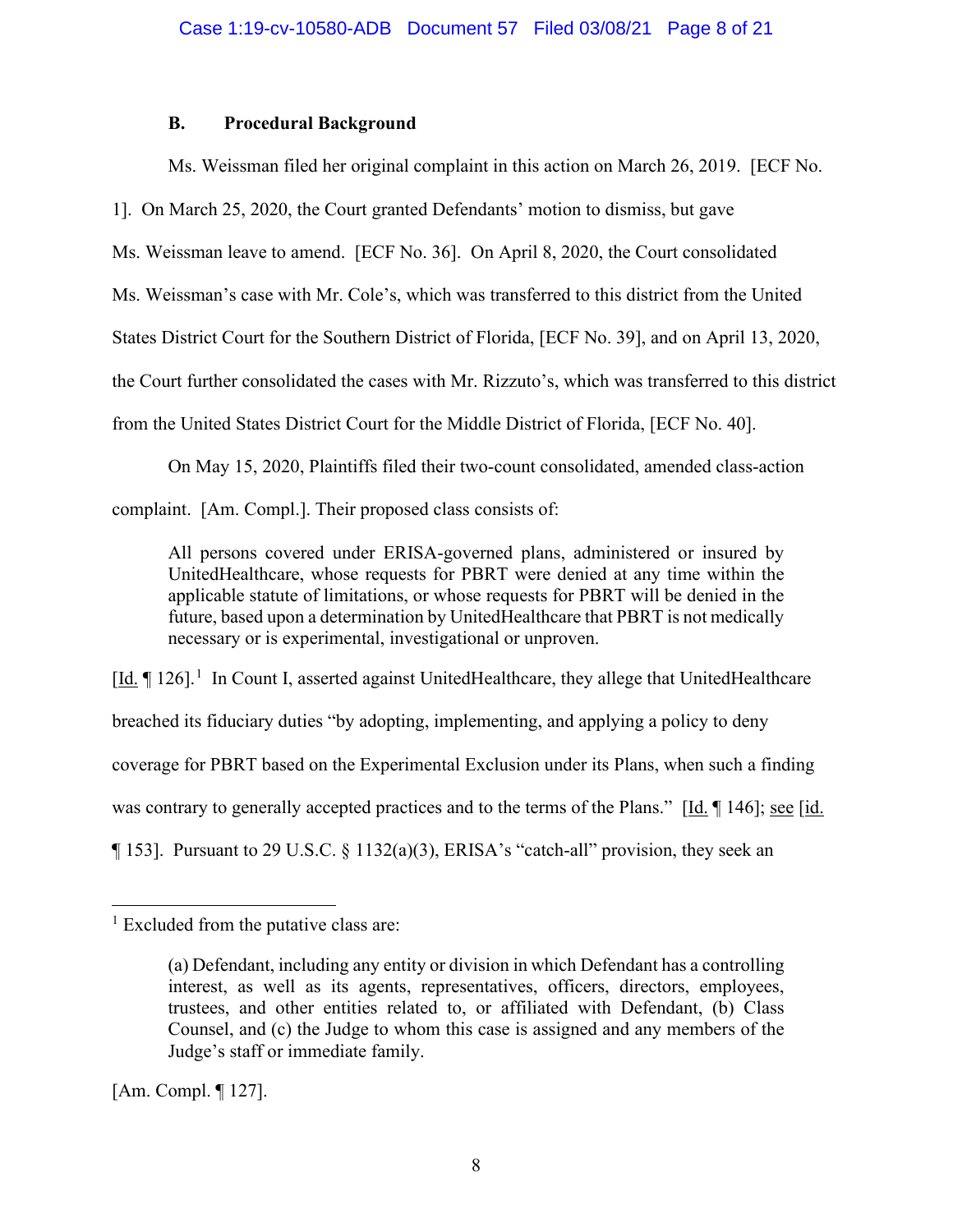## **B. Procedural Background**

Ms. Weissman filed her original complaint in this action on March 26, 2019. [ECF No.

1]. On March 25, 2020, the Court granted Defendants' motion to dismiss, but gave

Ms. Weissman leave to amend. [ECF No. 36]. On April 8, 2020, the Court consolidated

Ms. Weissman's case with Mr. Cole's, which was transferred to this district from the United

States District Court for the Southern District of Florida, [ECF No. 39], and on April 13, 2020,

the Court further consolidated the cases with Mr. Rizzuto's, which was transferred to this district

from the United States District Court for the Middle District of Florida, [ECF No. 40].

On May 15, 2020, Plaintiffs filed their two-count consolidated, amended class-action

complaint. [Am. Compl.]. Their proposed class consists of:

All persons covered under ERISA-governed plans, administered or insured by UnitedHealthcare, whose requests for PBRT were denied at any time within the applicable statute of limitations, or whose requests for PBRT will be denied in the future, based upon a determination by UnitedHealthcare that PBRT is not medically necessary or is experimental, investigational or unproven.

[Id. | 126].<sup>1</sup> In Count I, asserted against UnitedHealthcare, they allege that UnitedHealthcare breached its fiduciary duties "by adopting, implementing, and applying a policy to deny coverage for PBRT based on the Experimental Exclusion under its Plans, when such a finding was contrary to generally accepted practices and to the terms of the Plans." [Id. ¶ 146]; see [id. ¶ 153]. Pursuant to 29 U.S.C. § 1132(a)(3), ERISA's "catch-all" provision, they seek an

[Am. Compl. ¶ 127].

 $<sup>1</sup>$  Excluded from the putative class are:</sup>

<sup>(</sup>a) Defendant, including any entity or division in which Defendant has a controlling interest, as well as its agents, representatives, officers, directors, employees, trustees, and other entities related to, or affiliated with Defendant, (b) Class Counsel, and (c) the Judge to whom this case is assigned and any members of the Judge's staff or immediate family.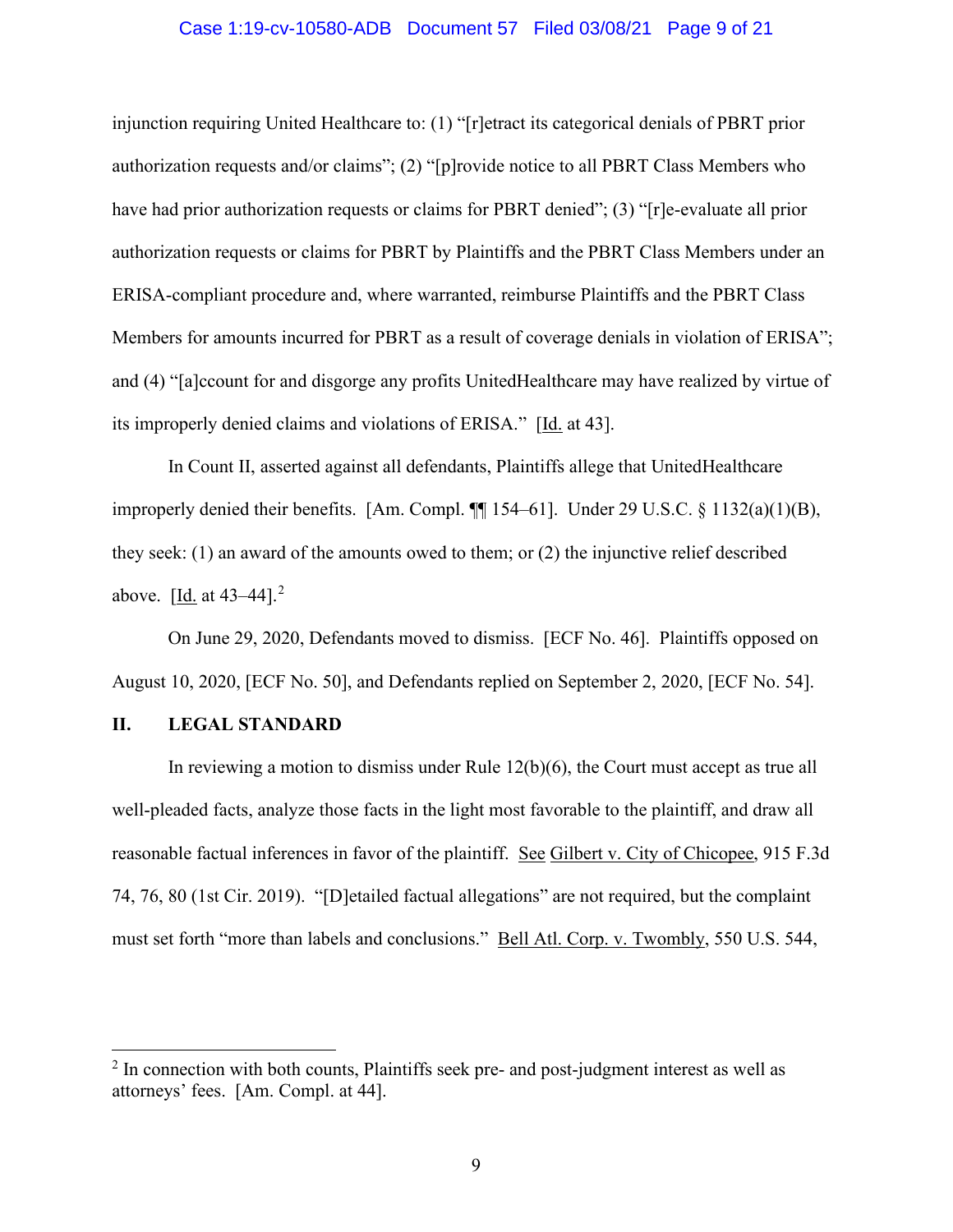#### Case 1:19-cv-10580-ADB Document 57 Filed 03/08/21 Page 9 of 21

injunction requiring United Healthcare to: (1) "[r]etract its categorical denials of PBRT prior authorization requests and/or claims"; (2) "[p]rovide notice to all PBRT Class Members who have had prior authorization requests or claims for PBRT denied"; (3) "[r]e-evaluate all prior authorization requests or claims for PBRT by Plaintiffs and the PBRT Class Members under an ERISA-compliant procedure and, where warranted, reimburse Plaintiffs and the PBRT Class Members for amounts incurred for PBRT as a result of coverage denials in violation of ERISA"; and (4) "[a]ccount for and disgorge any profits UnitedHealthcare may have realized by virtue of its improperly denied claims and violations of ERISA." [Id. at 43].

In Count II, asserted against all defendants, Plaintiffs allege that UnitedHealthcare improperly denied their benefits. [Am. Compl.  $\P$ [154–61]. Under 29 U.S.C. § 1132(a)(1)(B), they seek: (1) an award of the amounts owed to them; or (2) the injunctive relief described above.  $[\underline{Id}$  at 43–44].<sup>2</sup>

On June 29, 2020, Defendants moved to dismiss. [ECF No. 46]. Plaintiffs opposed on August 10, 2020, [ECF No. 50], and Defendants replied on September 2, 2020, [ECF No. 54].

#### **II. LEGAL STANDARD**

In reviewing a motion to dismiss under Rule 12(b)(6), the Court must accept as true all well-pleaded facts, analyze those facts in the light most favorable to the plaintiff, and draw all reasonable factual inferences in favor of the plaintiff. See Gilbert v. City of Chicopee, 915 F.3d 74, 76, 80 (1st Cir. 2019). "[D]etailed factual allegations" are not required, but the complaint must set forth "more than labels and conclusions." Bell Atl. Corp. v. Twombly, 550 U.S. 544,

<sup>&</sup>lt;sup>2</sup> In connection with both counts, Plaintiffs seek pre- and post-judgment interest as well as attorneys' fees. [Am. Compl. at 44].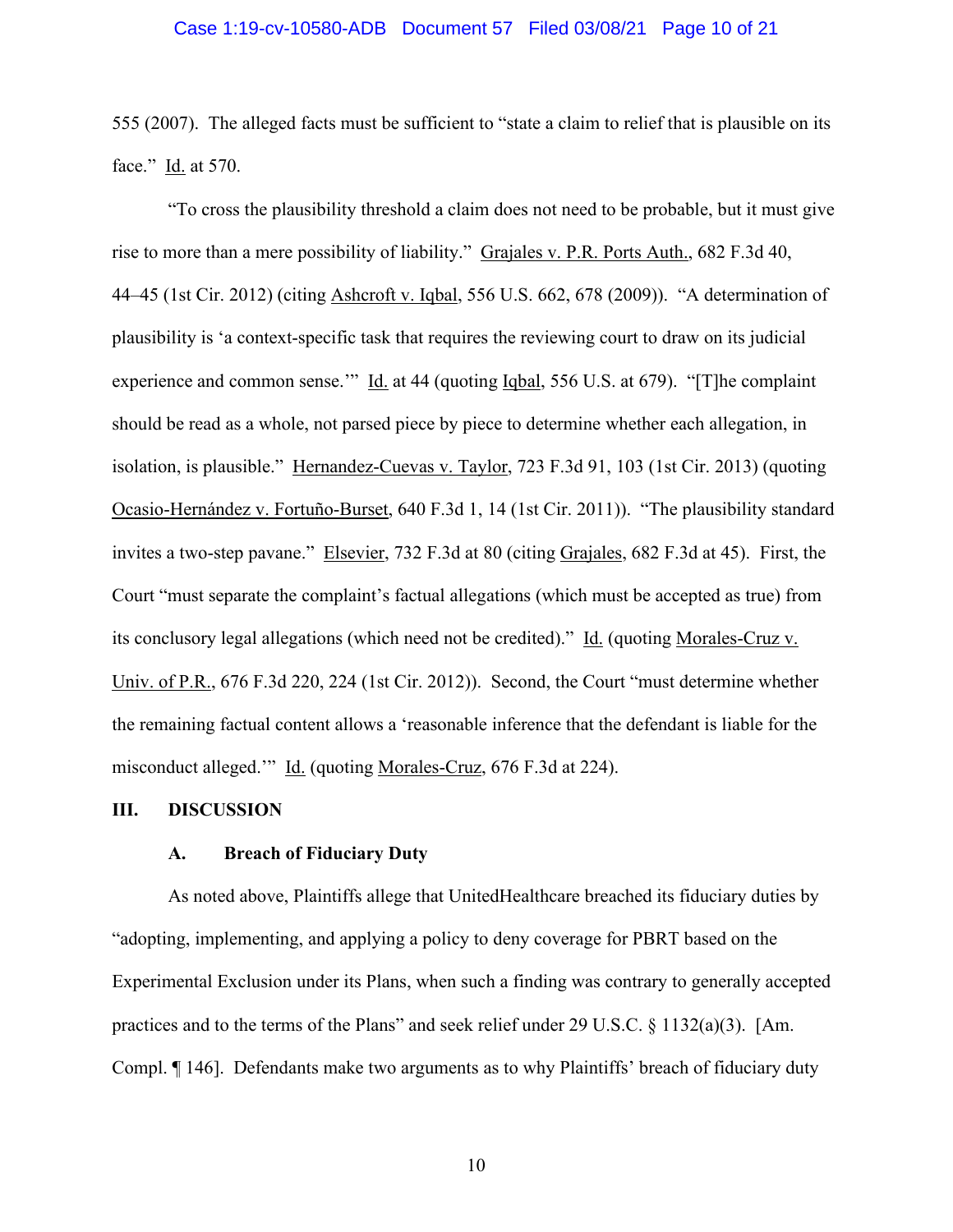#### Case 1:19-cv-10580-ADB Document 57 Filed 03/08/21 Page 10 of 21

555 (2007). The alleged facts must be sufficient to "state a claim to relief that is plausible on its face." Id. at 570.

"To cross the plausibility threshold a claim does not need to be probable, but it must give rise to more than a mere possibility of liability." Grajales v. P.R. Ports Auth., 682 F.3d 40, 44–45 (1st Cir. 2012) (citing Ashcroft v. Iqbal, 556 U.S. 662, 678 (2009)). "A determination of plausibility is 'a context-specific task that requires the reviewing court to draw on its judicial experience and common sense." Id. at 44 (quoting Iqbal, 556 U.S. at 679). "[T]he complaint should be read as a whole, not parsed piece by piece to determine whether each allegation, in isolation, is plausible." Hernandez-Cuevas v. Taylor, 723 F.3d 91, 103 (1st Cir. 2013) (quoting Ocasio-Hernández v. Fortuño-Burset, 640 F.3d 1, 14 (1st Cir. 2011)). "The plausibility standard invites a two-step pavane." Elsevier, 732 F.3d at 80 (citing Grajales, 682 F.3d at 45). First, the Court "must separate the complaint's factual allegations (which must be accepted as true) from its conclusory legal allegations (which need not be credited)." Id. (quoting Morales-Cruz v. Univ. of P.R., 676 F.3d 220, 224 (1st Cir. 2012)). Second, the Court "must determine whether the remaining factual content allows a 'reasonable inference that the defendant is liable for the misconduct alleged.'" Id. (quoting Morales-Cruz, 676 F.3d at 224).

#### **III. DISCUSSION**

#### **A. Breach of Fiduciary Duty**

As noted above, Plaintiffs allege that UnitedHealthcare breached its fiduciary duties by "adopting, implementing, and applying a policy to deny coverage for PBRT based on the Experimental Exclusion under its Plans, when such a finding was contrary to generally accepted practices and to the terms of the Plans" and seek relief under 29 U.S.C. § 1132(a)(3). [Am. Compl. ¶ 146]. Defendants make two arguments as to why Plaintiffs' breach of fiduciary duty

10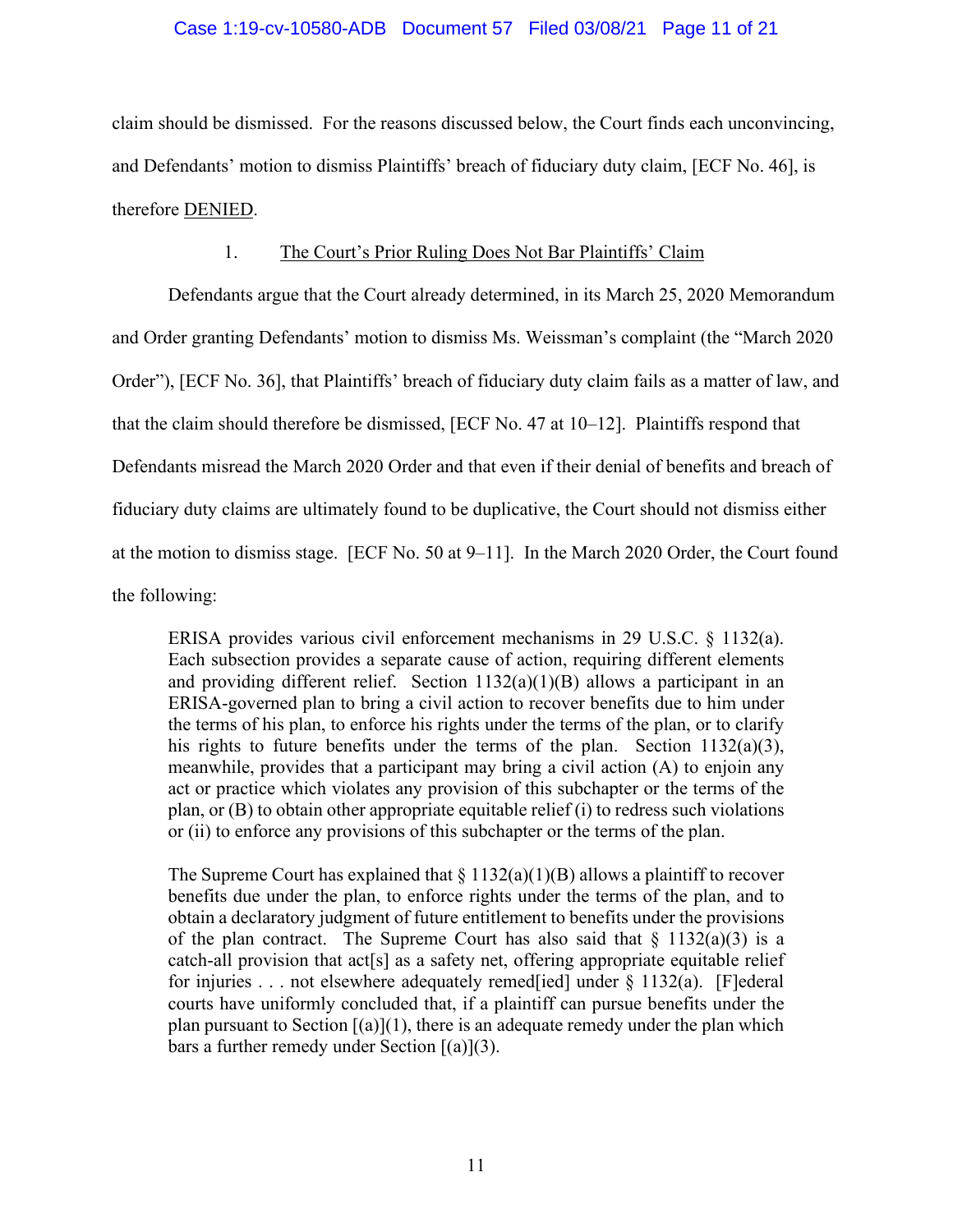#### Case 1:19-cv-10580-ADB Document 57 Filed 03/08/21 Page 11 of 21

claim should be dismissed. For the reasons discussed below, the Court finds each unconvincing, and Defendants' motion to dismiss Plaintiffs' breach of fiduciary duty claim, [ECF No. 46], is therefore DENIED.

#### 1. The Court's Prior Ruling Does Not Bar Plaintiffs' Claim

Defendants argue that the Court already determined, in its March 25, 2020 Memorandum and Order granting Defendants' motion to dismiss Ms. Weissman's complaint (the "March 2020 Order"), [ECF No. 36], that Plaintiffs' breach of fiduciary duty claim fails as a matter of law, and that the claim should therefore be dismissed, [ECF No. 47 at 10–12]. Plaintiffs respond that Defendants misread the March 2020 Order and that even if their denial of benefits and breach of fiduciary duty claims are ultimately found to be duplicative, the Court should not dismiss either at the motion to dismiss stage. [ECF No. 50 at 9–11]. In the March 2020 Order, the Court found the following:

ERISA provides various civil enforcement mechanisms in 29 U.S.C. § 1132(a). Each subsection provides a separate cause of action, requiring different elements and providing different relief. Section  $1132(a)(1)(B)$  allows a participant in an ERISA-governed plan to bring a civil action to recover benefits due to him under the terms of his plan, to enforce his rights under the terms of the plan, or to clarify his rights to future benefits under the terms of the plan. Section  $1132(a)(3)$ , meanwhile, provides that a participant may bring a civil action (A) to enjoin any act or practice which violates any provision of this subchapter or the terms of the plan, or  $(B)$  to obtain other appropriate equitable relief  $(i)$  to redress such violations or (ii) to enforce any provisions of this subchapter or the terms of the plan.

The Supreme Court has explained that  $\S 1132(a)(1)(B)$  allows a plaintiff to recover benefits due under the plan, to enforce rights under the terms of the plan, and to obtain a declaratory judgment of future entitlement to benefits under the provisions of the plan contract. The Supreme Court has also said that  $\S$  1132(a)(3) is a catch-all provision that act[s] as a safety net, offering appropriate equitable relief for injuries . . . not elsewhere adequately remed[ied] under § 1132(a). [F]ederal courts have uniformly concluded that, if a plaintiff can pursue benefits under the plan pursuant to Section  $[(a)](1)$ , there is an adequate remedy under the plan which bars a further remedy under Section  $[(a)](3)$ .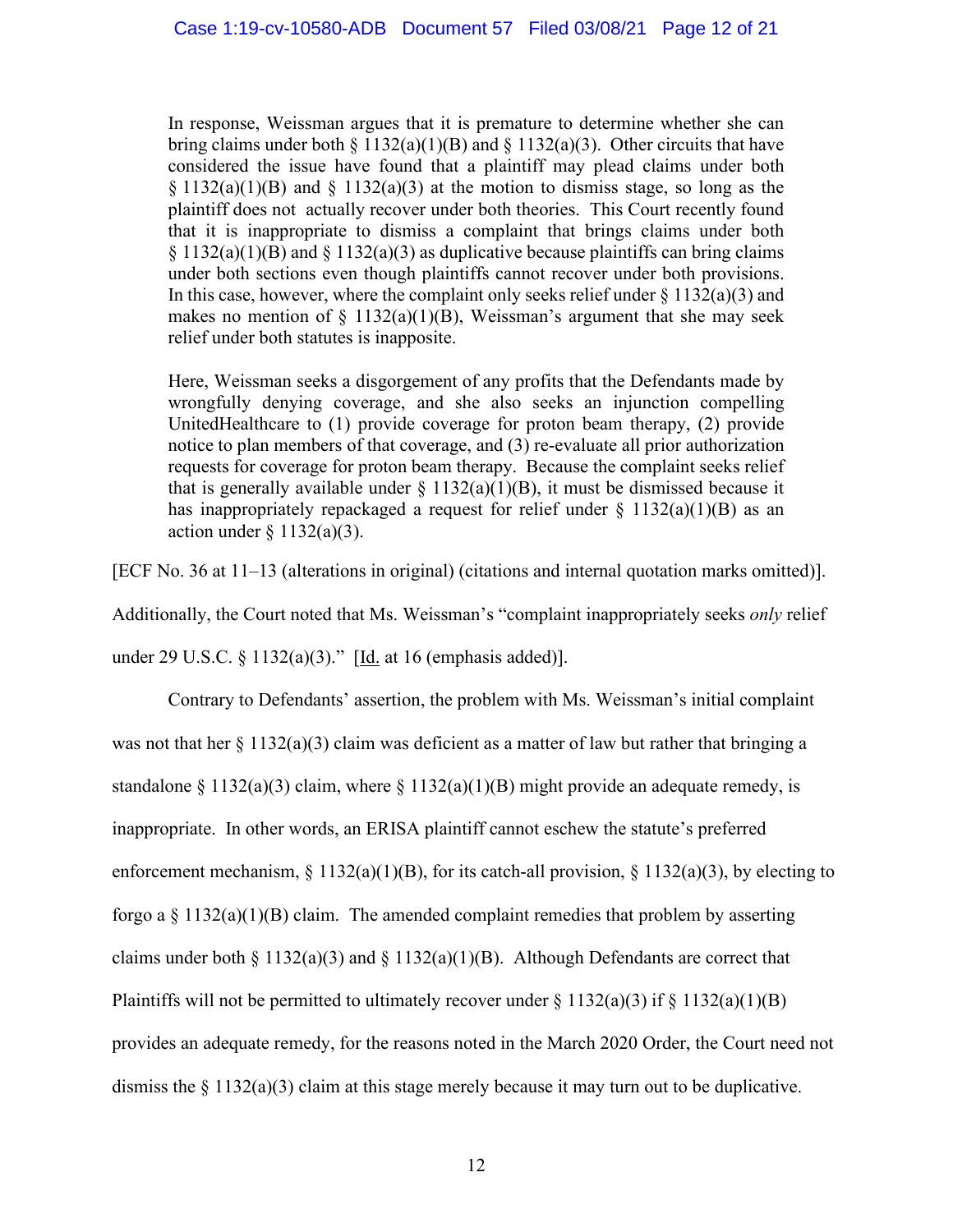In response, Weissman argues that it is premature to determine whether she can bring claims under both § 1132(a)(1)(B) and § 1132(a)(3). Other circuits that have considered the issue have found that a plaintiff may plead claims under both  $\S 1132(a)(1)(B)$  and  $\S 1132(a)(3)$  at the motion to dismiss stage, so long as the plaintiff does not actually recover under both theories. This Court recently found that it is inappropriate to dismiss a complaint that brings claims under both  $\S 1132(a)(1)(B)$  and  $\S 1132(a)(3)$  as duplicative because plaintiffs can bring claims under both sections even though plaintiffs cannot recover under both provisions. In this case, however, where the complaint only seeks relief under  $\S 1132(a)(3)$  and makes no mention of  $\S$  1132(a)(1)(B), Weissman's argument that she may seek relief under both statutes is inapposite.

Here, Weissman seeks a disgorgement of any profits that the Defendants made by wrongfully denying coverage, and she also seeks an injunction compelling UnitedHealthcare to (1) provide coverage for proton beam therapy, (2) provide notice to plan members of that coverage, and (3) re-evaluate all prior authorization requests for coverage for proton beam therapy. Because the complaint seeks relief that is generally available under  $\S 1132(a)(1)(B)$ , it must be dismissed because it has inappropriately repackaged a request for relief under  $\S 1132(a)(1)(B)$  as an action under  $\S 1132(a)(3)$ .

[ECF No. 36 at 11–13 (alterations in original) (citations and internal quotation marks omitted)].

Additionally, the Court noted that Ms. Weissman's "complaint inappropriately seeks *only* relief

under 29 U.S.C. § 1132(a)(3)." [Id. at 16 (emphasis added)].

Contrary to Defendants' assertion, the problem with Ms. Weissman's initial complaint was not that her  $\S 1132(a)(3)$  claim was deficient as a matter of law but rather that bringing a standalone § 1132(a)(3) claim, where § 1132(a)(1)(B) might provide an adequate remedy, is inappropriate. In other words, an ERISA plaintiff cannot eschew the statute's preferred enforcement mechanism, § 1132(a)(1)(B), for its catch-all provision, § 1132(a)(3), by electing to forgo a  $\S$  1132(a)(1)(B) claim. The amended complaint remedies that problem by asserting claims under both § 1132(a)(3) and § 1132(a)(1)(B). Although Defendants are correct that Plaintiffs will not be permitted to ultimately recover under  $\S 1132(a)(3)$  if  $\S 1132(a)(1)(B)$ provides an adequate remedy, for the reasons noted in the March 2020 Order, the Court need not dismiss the  $\S 1132(a)(3)$  claim at this stage merely because it may turn out to be duplicative.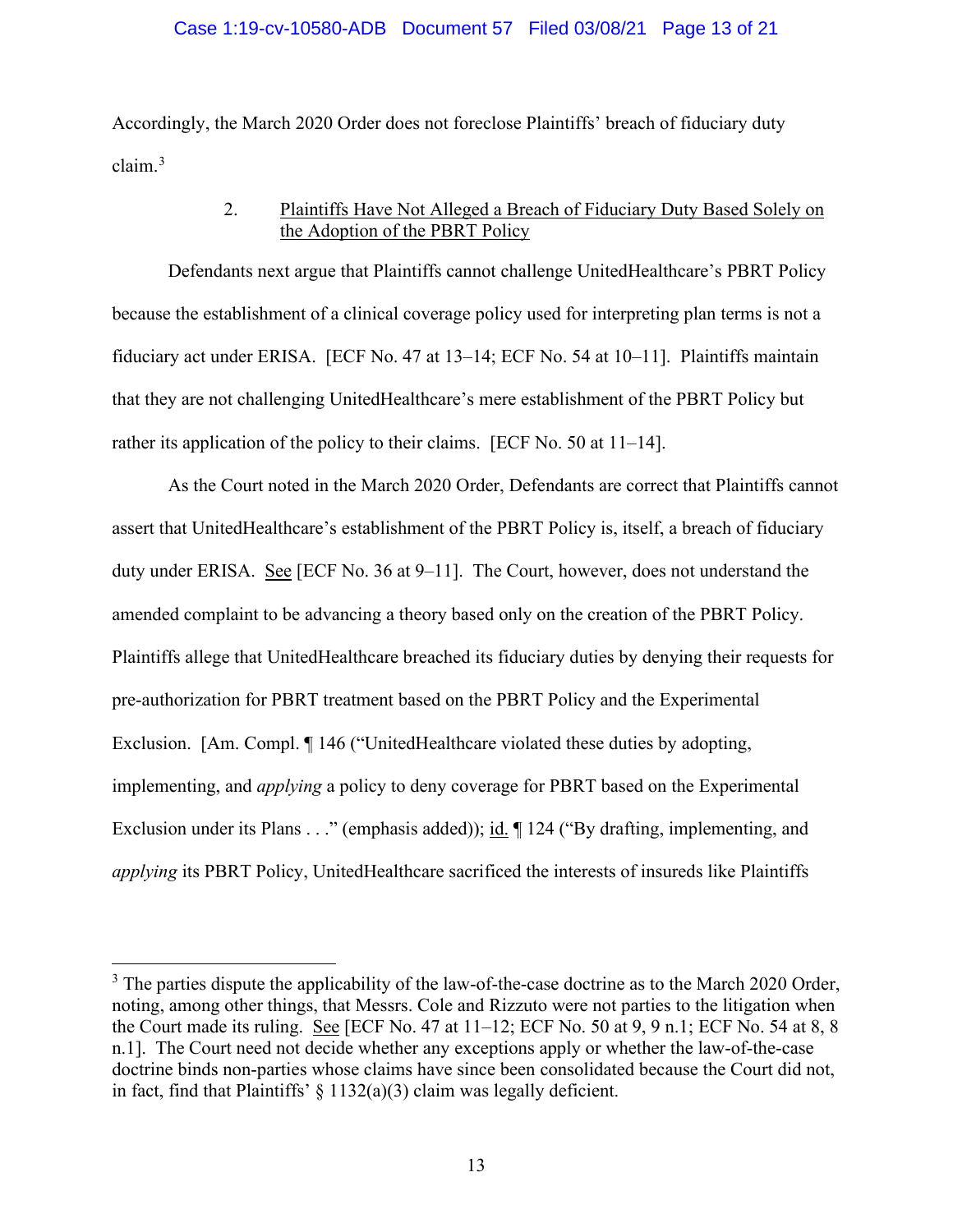#### Case 1:19-cv-10580-ADB Document 57 Filed 03/08/21 Page 13 of 21

Accordingly, the March 2020 Order does not foreclose Plaintiffs' breach of fiduciary duty claim.<sup>3</sup>

## 2. Plaintiffs Have Not Alleged a Breach of Fiduciary Duty Based Solely on the Adoption of the PBRT Policy

Defendants next argue that Plaintiffs cannot challenge UnitedHealthcare's PBRT Policy because the establishment of a clinical coverage policy used for interpreting plan terms is not a fiduciary act under ERISA. [ECF No. 47 at 13–14; ECF No. 54 at 10–11]. Plaintiffs maintain that they are not challenging UnitedHealthcare's mere establishment of the PBRT Policy but rather its application of the policy to their claims. [ECF No. 50 at 11–14].

As the Court noted in the March 2020 Order, Defendants are correct that Plaintiffs cannot assert that UnitedHealthcare's establishment of the PBRT Policy is, itself, a breach of fiduciary duty under ERISA. See [ECF No. 36 at 9–11]. The Court, however, does not understand the amended complaint to be advancing a theory based only on the creation of the PBRT Policy. Plaintiffs allege that UnitedHealthcare breached its fiduciary duties by denying their requests for pre-authorization for PBRT treatment based on the PBRT Policy and the Experimental Exclusion. [Am. Compl. 146 ("UnitedHealthcare violated these duties by adopting, implementing, and *applying* a policy to deny coverage for PBRT based on the Experimental Exclusion under its Plans . . ." (emphasis added)); id. ¶ 124 ("By drafting, implementing, and *applying* its PBRT Policy, UnitedHealthcare sacrificed the interests of insureds like Plaintiffs

 $3$  The parties dispute the applicability of the law-of-the-case doctrine as to the March 2020 Order, noting, among other things, that Messrs. Cole and Rizzuto were not parties to the litigation when the Court made its ruling. See [ECF No. 47 at 11–12; ECF No. 50 at 9, 9 n.1; ECF No. 54 at 8, 8 n.1]. The Court need not decide whether any exceptions apply or whether the law-of-the-case doctrine binds non-parties whose claims have since been consolidated because the Court did not, in fact, find that Plaintiffs'  $\S 1132(a)(3)$  claim was legally deficient.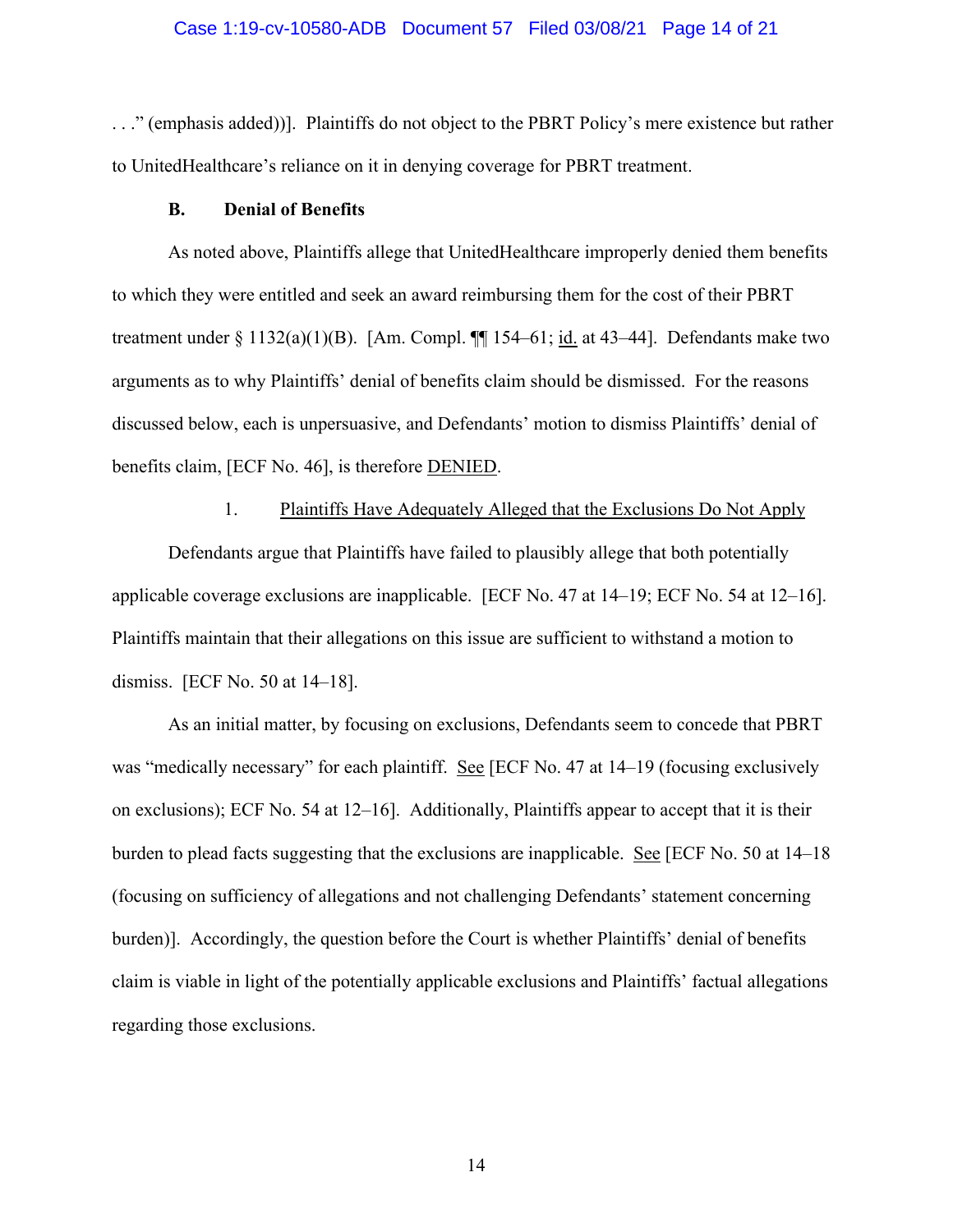#### Case 1:19-cv-10580-ADB Document 57 Filed 03/08/21 Page 14 of 21

. . ." (emphasis added))]. Plaintiffs do not object to the PBRT Policy's mere existence but rather to UnitedHealthcare's reliance on it in denying coverage for PBRT treatment.

#### **B. Denial of Benefits**

As noted above, Plaintiffs allege that UnitedHealthcare improperly denied them benefits to which they were entitled and seek an award reimbursing them for the cost of their PBRT treatment under  $\S 1132(a)(1)(B)$ . [Am. Compl.  $\P\P 154-61$ ; id. at 43-44]. Defendants make two arguments as to why Plaintiffs' denial of benefits claim should be dismissed. For the reasons discussed below, each is unpersuasive, and Defendants' motion to dismiss Plaintiffs' denial of benefits claim, [ECF No. 46], is therefore DENIED.

## 1. Plaintiffs Have Adequately Alleged that the Exclusions Do Not Apply

Defendants argue that Plaintiffs have failed to plausibly allege that both potentially applicable coverage exclusions are inapplicable. [ECF No. 47 at 14–19; ECF No. 54 at 12–16]. Plaintiffs maintain that their allegations on this issue are sufficient to withstand a motion to dismiss. [ECF No. 50 at 14–18].

As an initial matter, by focusing on exclusions, Defendants seem to concede that PBRT was "medically necessary" for each plaintiff. See [ECF No. 47 at 14–19 (focusing exclusively on exclusions); ECF No. 54 at 12–16]. Additionally, Plaintiffs appear to accept that it is their burden to plead facts suggesting that the exclusions are inapplicable. See [ECF No. 50 at 14–18 (focusing on sufficiency of allegations and not challenging Defendants' statement concerning burden)]. Accordingly, the question before the Court is whether Plaintiffs' denial of benefits claim is viable in light of the potentially applicable exclusions and Plaintiffs' factual allegations regarding those exclusions.

14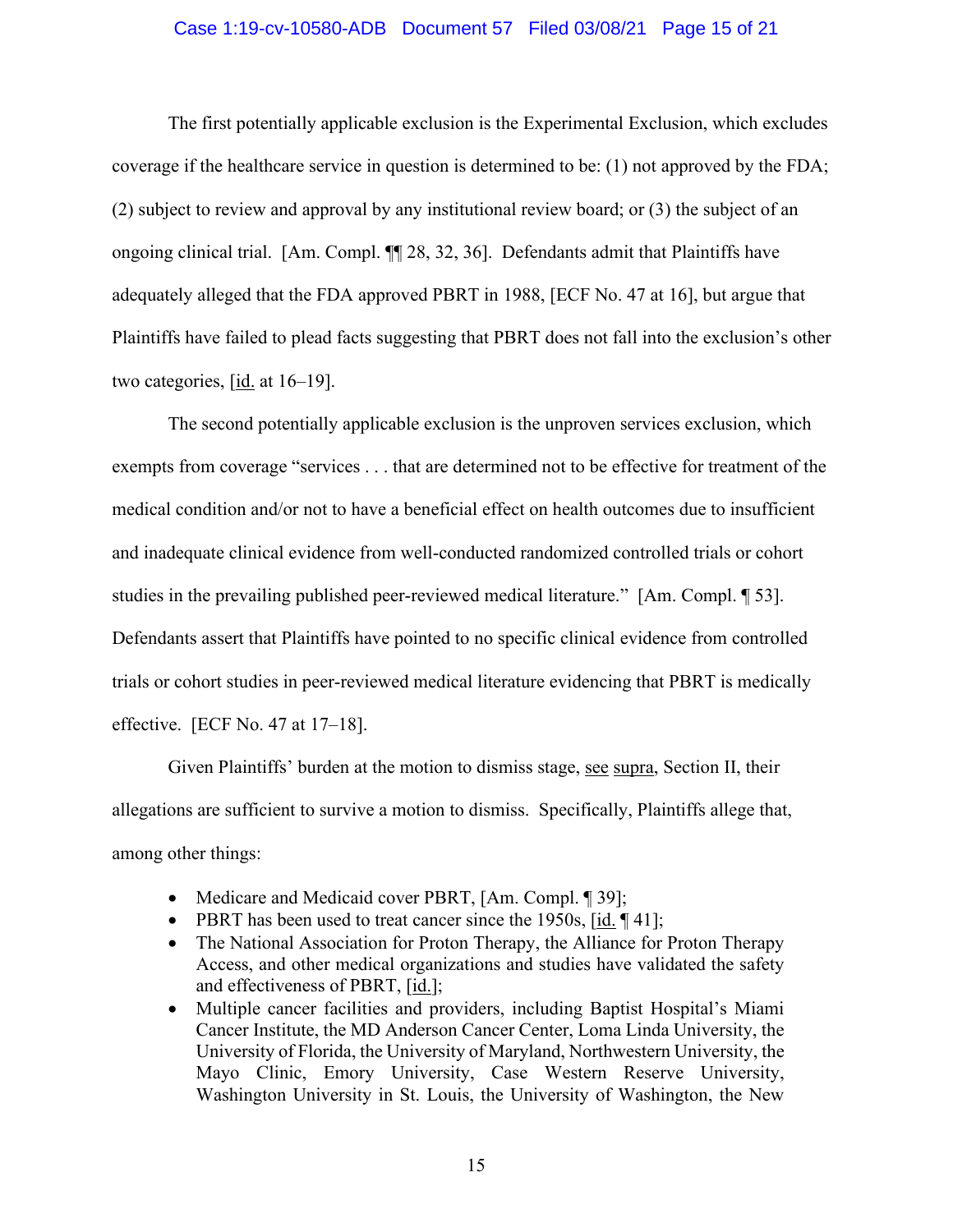#### Case 1:19-cv-10580-ADB Document 57 Filed 03/08/21 Page 15 of 21

The first potentially applicable exclusion is the Experimental Exclusion, which excludes coverage if the healthcare service in question is determined to be: (1) not approved by the FDA; (2) subject to review and approval by any institutional review board; or (3) the subject of an ongoing clinical trial. [Am. Compl. ¶¶ 28, 32, 36]. Defendants admit that Plaintiffs have adequately alleged that the FDA approved PBRT in 1988, [ECF No. 47 at 16], but argue that Plaintiffs have failed to plead facts suggesting that PBRT does not fall into the exclusion's other two categories, [id. at 16–19].

The second potentially applicable exclusion is the unproven services exclusion, which exempts from coverage "services . . . that are determined not to be effective for treatment of the medical condition and/or not to have a beneficial effect on health outcomes due to insufficient and inadequate clinical evidence from well-conducted randomized controlled trials or cohort studies in the prevailing published peer-reviewed medical literature." [Am. Compl. ¶ 53]. Defendants assert that Plaintiffs have pointed to no specific clinical evidence from controlled trials or cohort studies in peer-reviewed medical literature evidencing that PBRT is medically effective. [ECF No. 47 at 17–18].

Given Plaintiffs' burden at the motion to dismiss stage, see supra, Section II, their allegations are sufficient to survive a motion to dismiss. Specifically, Plaintiffs allege that, among other things:

- Medicare and Medicaid cover PBRT, [Am. Compl. 1 39];
- PBRT has been used to treat cancer since the 1950s, [id. ¶ 41];
- The National Association for Proton Therapy, the Alliance for Proton Therapy Access, and other medical organizations and studies have validated the safety and effectiveness of PBRT, [id.];
- Multiple cancer facilities and providers, including Baptist Hospital's Miami Cancer Institute, the MD Anderson Cancer Center, Loma Linda University, the University of Florida, the University of Maryland, Northwestern University, the Mayo Clinic, Emory University, Case Western Reserve University, Washington University in St. Louis, the University of Washington, the New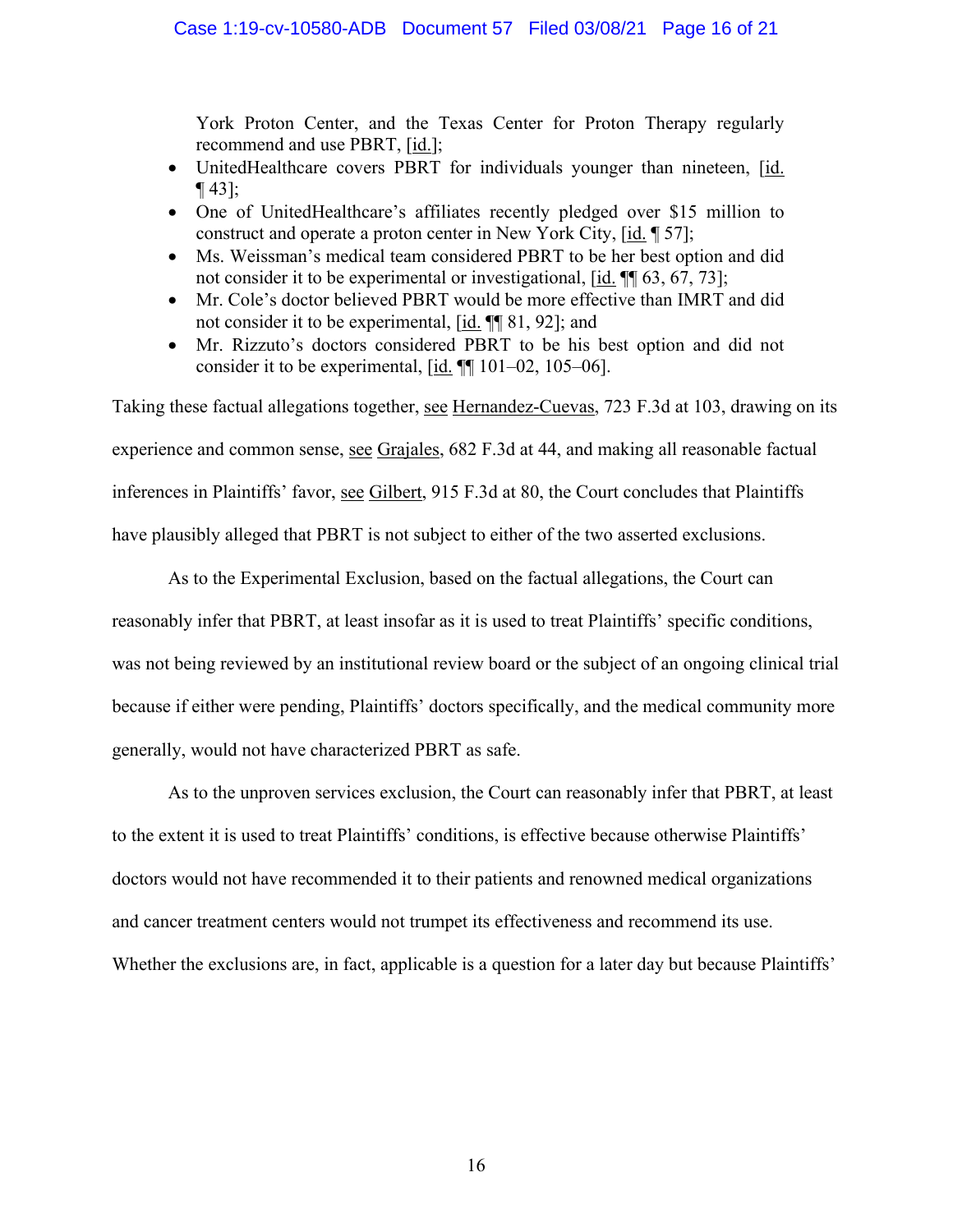York Proton Center, and the Texas Center for Proton Therapy regularly recommend and use PBRT, [id.];

- UnitedHealthcare covers PBRT for individuals younger than nineteen, [id. ¶ 43];
- One of UnitedHealthcare's affiliates recently pledged over \$15 million to construct and operate a proton center in New York City, [id. ¶ 57];
- Ms. Weissman's medical team considered PBRT to be her best option and did not consider it to be experimental or investigational,  $[\underline{\text{id}}]$ .  $[\text{M}]$  63, 67, 73];
- Mr. Cole's doctor believed PBRT would be more effective than IMRT and did not consider it to be experimental, [id. ¶¶ 81, 92]; and
- Mr. Rizzuto's doctors considered PBRT to be his best option and did not consider it to be experimental,  $[\underline{\text{id}}]$ . [[1] 101–02, 105–06].

Taking these factual allegations together, see Hernandez-Cuevas, 723 F.3d at 103, drawing on its experience and common sense, see Grajales, 682 F.3d at 44, and making all reasonable factual inferences in Plaintiffs' favor, see Gilbert, 915 F.3d at 80, the Court concludes that Plaintiffs have plausibly alleged that PBRT is not subject to either of the two asserted exclusions.

As to the Experimental Exclusion, based on the factual allegations, the Court can reasonably infer that PBRT, at least insofar as it is used to treat Plaintiffs' specific conditions, was not being reviewed by an institutional review board or the subject of an ongoing clinical trial because if either were pending, Plaintiffs' doctors specifically, and the medical community more generally, would not have characterized PBRT as safe.

As to the unproven services exclusion, the Court can reasonably infer that PBRT, at least to the extent it is used to treat Plaintiffs' conditions, is effective because otherwise Plaintiffs' doctors would not have recommended it to their patients and renowned medical organizations and cancer treatment centers would not trumpet its effectiveness and recommend its use. Whether the exclusions are, in fact, applicable is a question for a later day but because Plaintiffs'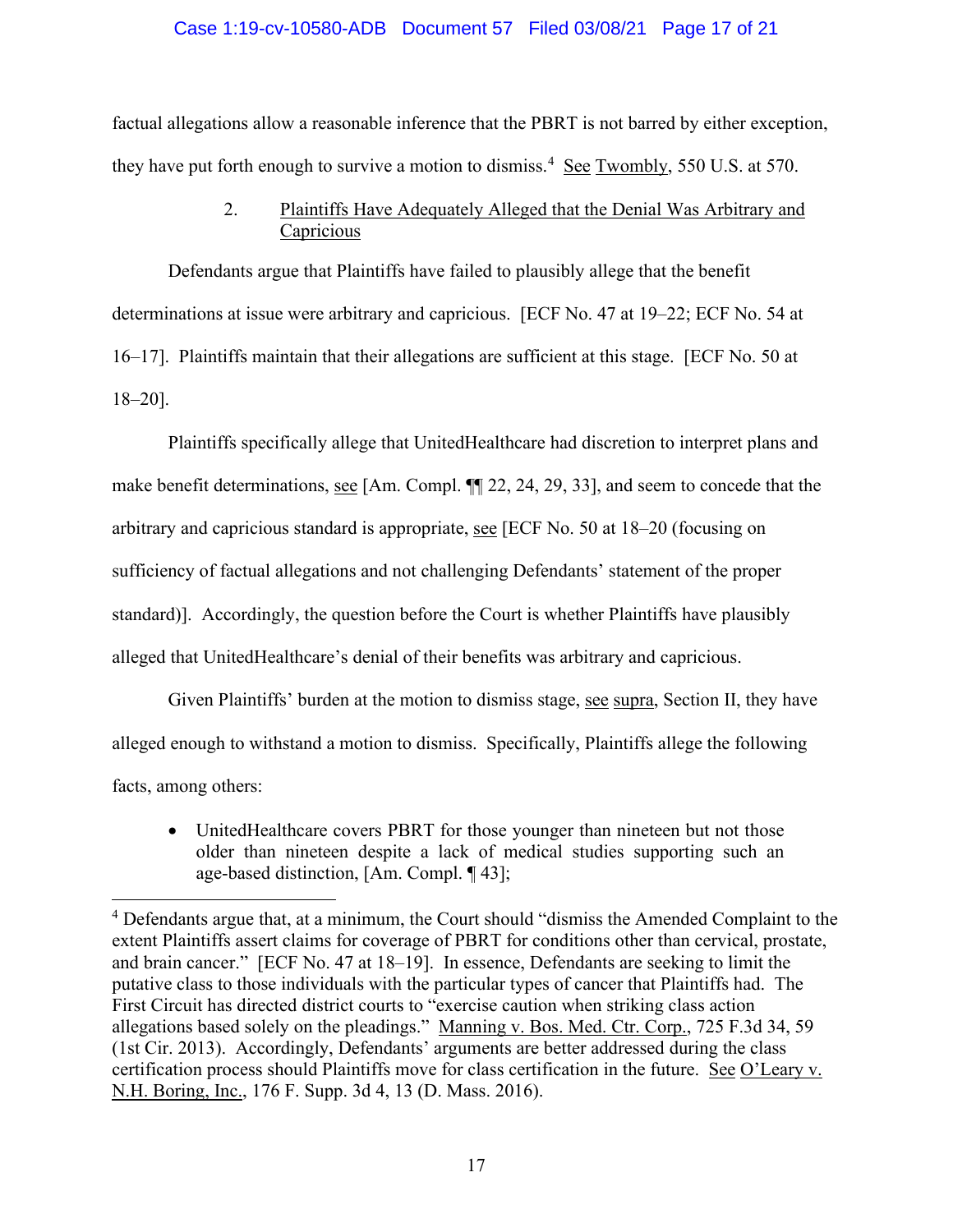#### Case 1:19-cv-10580-ADB Document 57 Filed 03/08/21 Page 17 of 21

factual allegations allow a reasonable inference that the PBRT is not barred by either exception, they have put forth enough to survive a motion to dismiss.<sup>4</sup> See Twombly, 550 U.S. at 570.

# 2. Plaintiffs Have Adequately Alleged that the Denial Was Arbitrary and **Capricious**

Defendants argue that Plaintiffs have failed to plausibly allege that the benefit determinations at issue were arbitrary and capricious. [ECF No. 47 at 19–22; ECF No. 54 at 16–17]. Plaintiffs maintain that their allegations are sufficient at this stage. [ECF No. 50 at 18–20].

Plaintiffs specifically allege that UnitedHealthcare had discretion to interpret plans and make benefit determinations, see [Am. Compl. ¶¶ 22, 24, 29, 33], and seem to concede that the arbitrary and capricious standard is appropriate, see [ECF No. 50 at 18–20 (focusing on sufficiency of factual allegations and not challenging Defendants' statement of the proper standard)]. Accordingly, the question before the Court is whether Plaintiffs have plausibly alleged that UnitedHealthcare's denial of their benefits was arbitrary and capricious.

Given Plaintiffs' burden at the motion to dismiss stage, see supra, Section II, they have alleged enough to withstand a motion to dismiss. Specifically, Plaintiffs allege the following facts, among others:

• UnitedHealthcare covers PBRT for those younger than nineteen but not those older than nineteen despite a lack of medical studies supporting such an age-based distinction, [Am. Compl. ¶ 43];

<sup>&</sup>lt;sup>4</sup> Defendants argue that, at a minimum, the Court should "dismiss the Amended Complaint to the extent Plaintiffs assert claims for coverage of PBRT for conditions other than cervical, prostate, and brain cancer." [ECF No. 47 at 18–19]. In essence, Defendants are seeking to limit the putative class to those individuals with the particular types of cancer that Plaintiffs had. The First Circuit has directed district courts to "exercise caution when striking class action allegations based solely on the pleadings." Manning v. Bos. Med. Ctr. Corp., 725 F.3d 34, 59 (1st Cir. 2013). Accordingly, Defendants' arguments are better addressed during the class certification process should Plaintiffs move for class certification in the future. See O'Leary v. N.H. Boring, Inc., 176 F. Supp. 3d 4, 13 (D. Mass. 2016).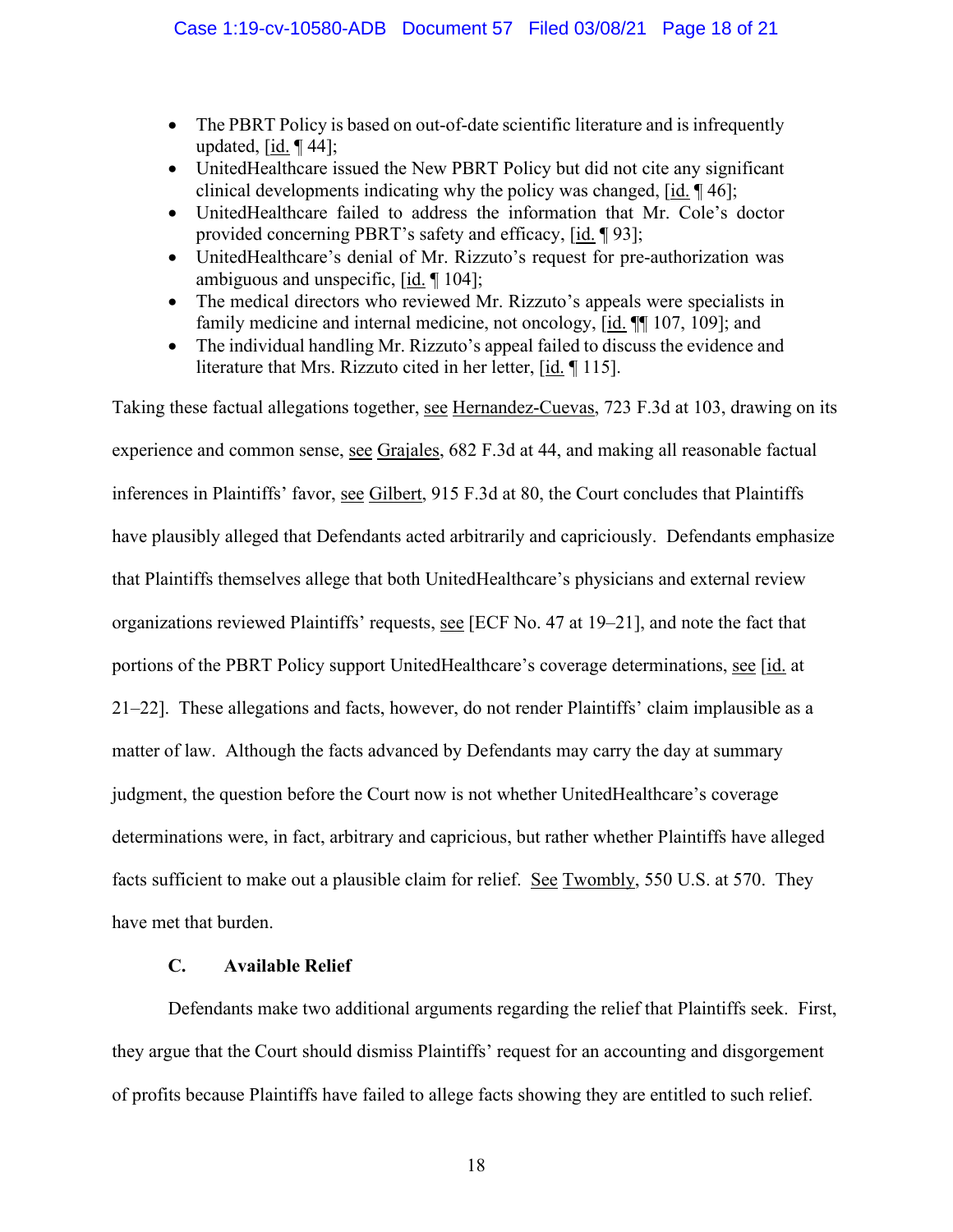- The PBRT Policy is based on out-of-date scientific literature and is infrequently updated,  $\lceil$ id.  $\lceil$  44];
- UnitedHealthcare issued the New PBRT Policy but did not cite any significant clinical developments indicating why the policy was changed, [id. ¶ 46];
- UnitedHealthcare failed to address the information that Mr. Cole's doctor provided concerning PBRT's safety and efficacy, [id. ¶ 93];
- UnitedHealthcare's denial of Mr. Rizzuto's request for pre-authorization was ambiguous and unspecific, [id. ¶ 104];
- The medical directors who reviewed Mr. Rizzuto's appeals were specialists in family medicine and internal medicine, not oncology, [id. ¶¶ 107, 109]; and
- The individual handling Mr. Rizzuto's appeal failed to discuss the evidence and literature that Mrs. Rizzuto cited in her letter, [id. ¶ 115].

Taking these factual allegations together, see Hernandez-Cuevas, 723 F.3d at 103, drawing on its experience and common sense, see Grajales, 682 F.3d at 44, and making all reasonable factual inferences in Plaintiffs' favor, see Gilbert, 915 F.3d at 80, the Court concludes that Plaintiffs have plausibly alleged that Defendants acted arbitrarily and capriciously. Defendants emphasize that Plaintiffs themselves allege that both UnitedHealthcare's physicians and external review organizations reviewed Plaintiffs' requests, see [ECF No. 47 at 19–21], and note the fact that portions of the PBRT Policy support UnitedHealthcare's coverage determinations, see [id. at 21–22]. These allegations and facts, however, do not render Plaintiffs' claim implausible as a matter of law. Although the facts advanced by Defendants may carry the day at summary judgment, the question before the Court now is not whether UnitedHealthcare's coverage determinations were, in fact, arbitrary and capricious, but rather whether Plaintiffs have alleged facts sufficient to make out a plausible claim for relief. See Twombly, 550 U.S. at 570. They have met that burden.

# **C. Available Relief**

Defendants make two additional arguments regarding the relief that Plaintiffs seek. First, they argue that the Court should dismiss Plaintiffs' request for an accounting and disgorgement of profits because Plaintiffs have failed to allege facts showing they are entitled to such relief.

18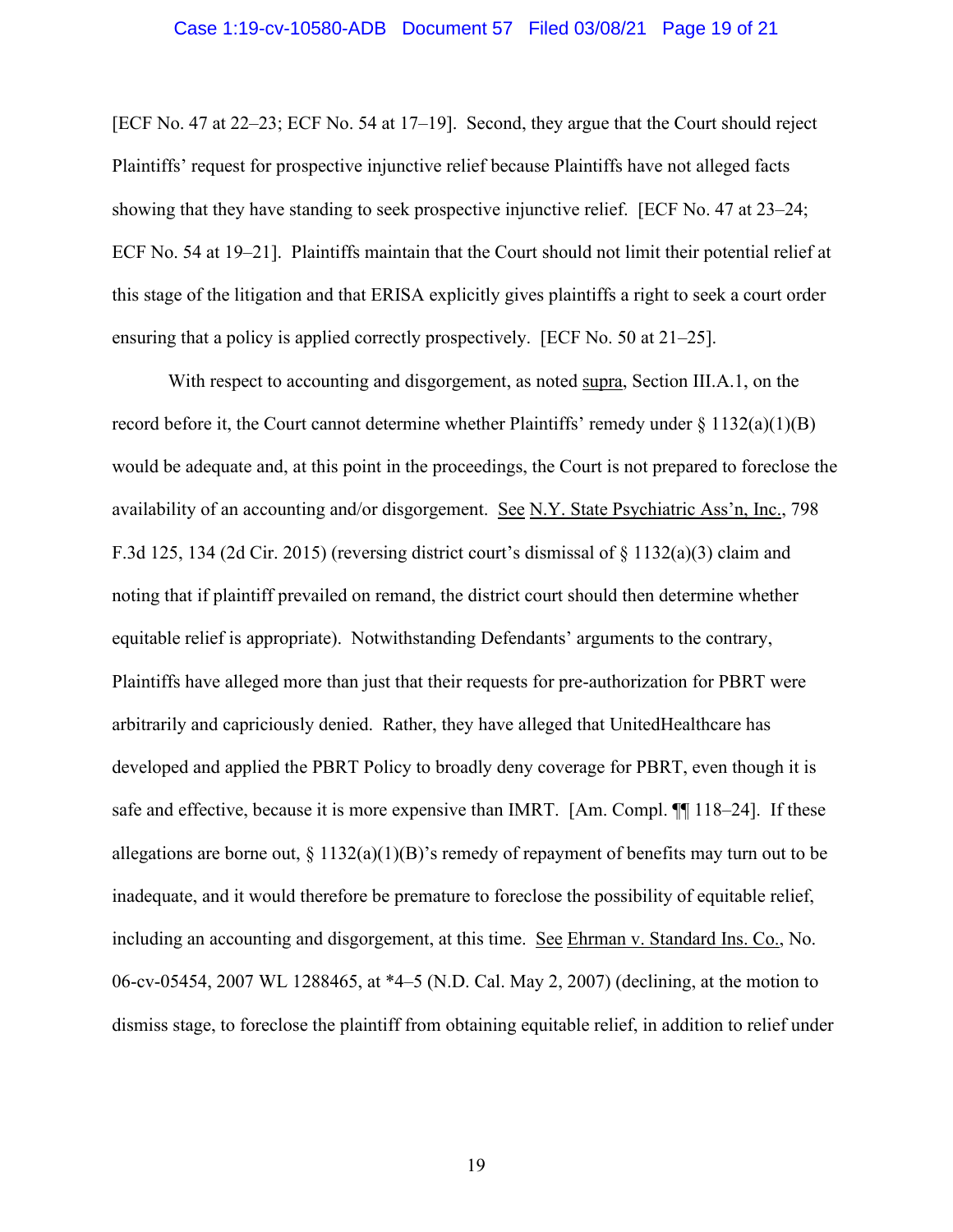#### Case 1:19-cv-10580-ADB Document 57 Filed 03/08/21 Page 19 of 21

[ECF No. 47 at 22–23; ECF No. 54 at 17–19]. Second, they argue that the Court should reject Plaintiffs' request for prospective injunctive relief because Plaintiffs have not alleged facts showing that they have standing to seek prospective injunctive relief. [ECF No. 47 at 23–24; ECF No. 54 at 19–21]. Plaintiffs maintain that the Court should not limit their potential relief at this stage of the litigation and that ERISA explicitly gives plaintiffs a right to seek a court order ensuring that a policy is applied correctly prospectively. [ECF No. 50 at 21–25].

With respect to accounting and disgorgement, as noted supra, Section III.A.1, on the record before it, the Court cannot determine whether Plaintiffs' remedy under § 1132(a)(1)(B) would be adequate and, at this point in the proceedings, the Court is not prepared to foreclose the availability of an accounting and/or disgorgement. See N.Y. State Psychiatric Ass'n, Inc., 798 F.3d 125, 134 (2d Cir. 2015) (reversing district court's dismissal of  $\S$  1132(a)(3) claim and noting that if plaintiff prevailed on remand, the district court should then determine whether equitable relief is appropriate). Notwithstanding Defendants' arguments to the contrary, Plaintiffs have alleged more than just that their requests for pre-authorization for PBRT were arbitrarily and capriciously denied. Rather, they have alleged that UnitedHealthcare has developed and applied the PBRT Policy to broadly deny coverage for PBRT, even though it is safe and effective, because it is more expensive than IMRT. [Am. Compl. ¶¶ 118–24]. If these allegations are borne out,  $\S 1132(a)(1)(B)$ 's remedy of repayment of benefits may turn out to be inadequate, and it would therefore be premature to foreclose the possibility of equitable relief, including an accounting and disgorgement, at this time. See Ehrman v. Standard Ins. Co., No. 06-cv-05454, 2007 WL 1288465, at \*4–5 (N.D. Cal. May 2, 2007) (declining, at the motion to dismiss stage, to foreclose the plaintiff from obtaining equitable relief, in addition to relief under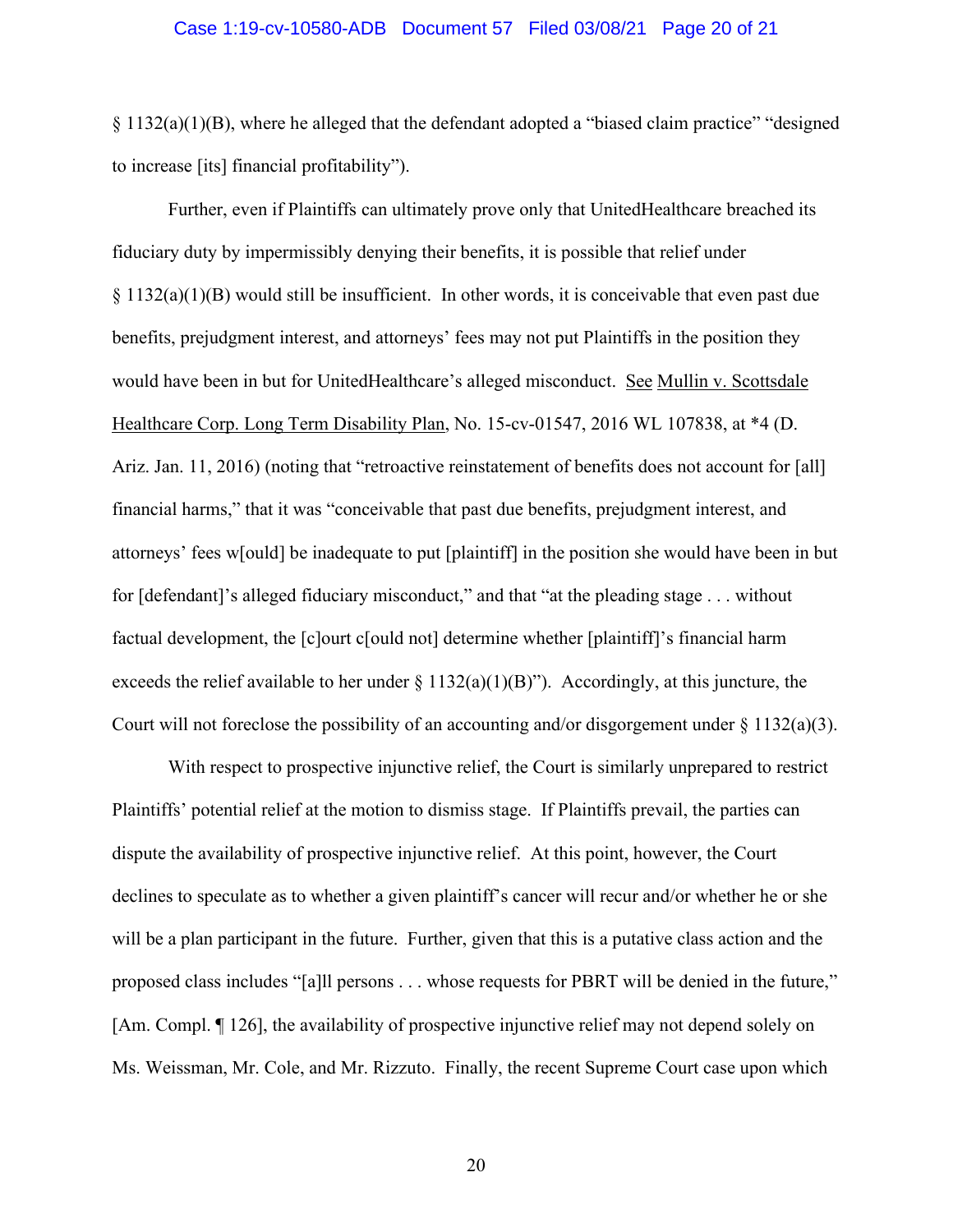#### Case 1:19-cv-10580-ADB Document 57 Filed 03/08/21 Page 20 of 21

 $\S 1132(a)(1)(B)$ , where he alleged that the defendant adopted a "biased claim practice" "designed to increase [its] financial profitability").

Further, even if Plaintiffs can ultimately prove only that UnitedHealthcare breached its fiduciary duty by impermissibly denying their benefits, it is possible that relief under  $\S 1132(a)(1)(B)$  would still be insufficient. In other words, it is conceivable that even past due benefits, prejudgment interest, and attorneys' fees may not put Plaintiffs in the position they would have been in but for UnitedHealthcare's alleged misconduct. See Mullin v. Scottsdale Healthcare Corp. Long Term Disability Plan, No. 15-cv-01547, 2016 WL 107838, at \*4 (D. Ariz. Jan. 11, 2016) (noting that "retroactive reinstatement of benefits does not account for [all] financial harms," that it was "conceivable that past due benefits, prejudgment interest, and attorneys' fees w[ould] be inadequate to put [plaintiff] in the position she would have been in but for [defendant]'s alleged fiduciary misconduct," and that "at the pleading stage . . . without factual development, the [c]ourt c[ould not] determine whether [plaintiff]'s financial harm exceeds the relief available to her under  $\S 1132(a)(1)(B)$ "). Accordingly, at this juncture, the Court will not foreclose the possibility of an accounting and/or disgorgement under  $\S 1132(a)(3)$ .

With respect to prospective injunctive relief, the Court is similarly unprepared to restrict Plaintiffs' potential relief at the motion to dismiss stage. If Plaintiffs prevail, the parties can dispute the availability of prospective injunctive relief. At this point, however, the Court declines to speculate as to whether a given plaintiff's cancer will recur and/or whether he or she will be a plan participant in the future. Further, given that this is a putative class action and the proposed class includes "[a]ll persons . . . whose requests for PBRT will be denied in the future," [Am. Compl. ¶ 126], the availability of prospective injunctive relief may not depend solely on Ms. Weissman, Mr. Cole, and Mr. Rizzuto. Finally, the recent Supreme Court case upon which